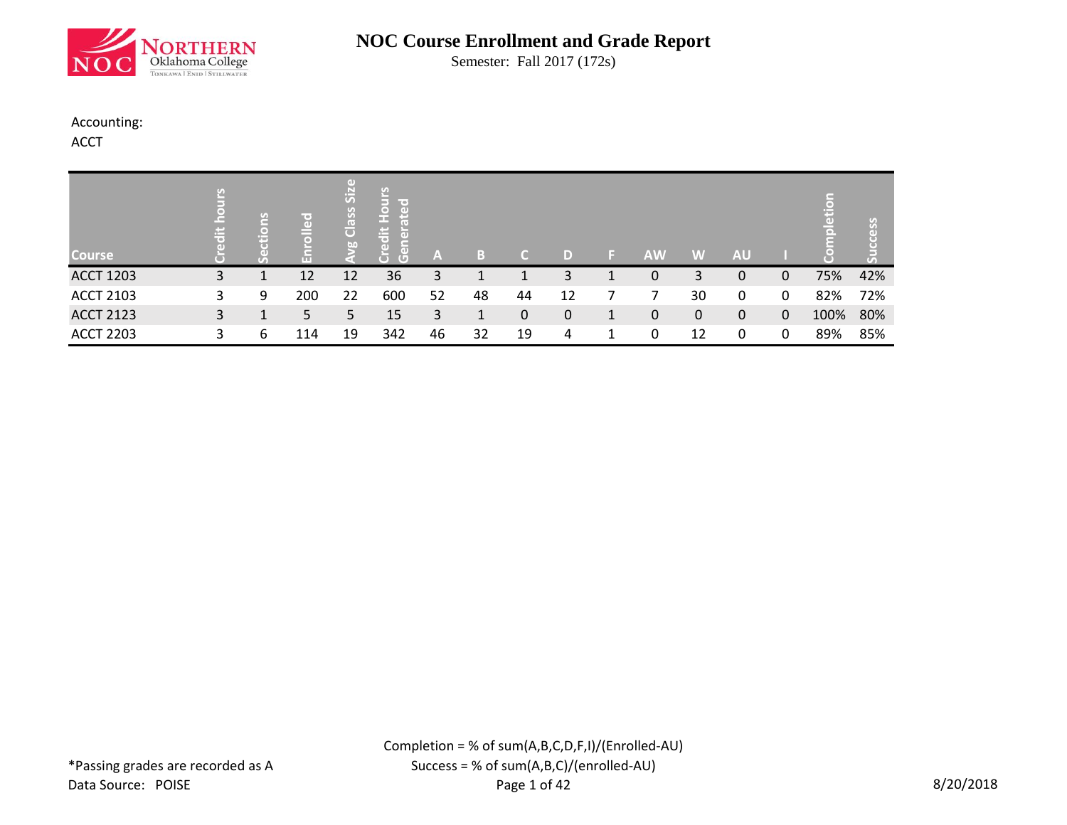

Semester: Fall 2017 (172s)

#### Accounting:

ACCT

| <b>Course</b>    | $\frac{1}{10}$ |   | r o i<br>$\overline{a}$ | GD.<br>SiZ<br>Class<br>b <sub>0</sub> | ပြ<br>le o<br>$rac{1}{2}$<br>ιŧ<br>$\overline{a}$<br>GD)<br>$\overline{G}$ | A  | В  | C. | D            | <b>AW</b> | W  | <b>AU</b> |              | ь<br>$\Box$ | ိက်ိ |
|------------------|----------------|---|-------------------------|---------------------------------------|----------------------------------------------------------------------------|----|----|----|--------------|-----------|----|-----------|--------------|-------------|------|
| <b>ACCT 1203</b> | 3              |   | 12                      | 12                                    | 36                                                                         | 3  |    |    | 3            | 0         | 3  | 0         |              | 75%         | 42%  |
| <b>ACCT 2103</b> | 3.             | 9 | 200                     | 22                                    | 600                                                                        | 52 | 48 | 44 | 12           |           | 30 | 0         | 0            | 82%         | 72%  |
| <b>ACCT 2123</b> | 3.             |   | 5.                      | 5                                     | 15                                                                         | 3  |    | 0  | $\mathbf{0}$ | 0         | 0  | 0         | $\mathbf{0}$ | 100%        | 80%  |
| <b>ACCT 2203</b> | 3              | 6 | 114                     | 19                                    | 342                                                                        | 46 | 32 | 19 | 4            | 0         | 12 | 0         | 0            | 89%         | 85%  |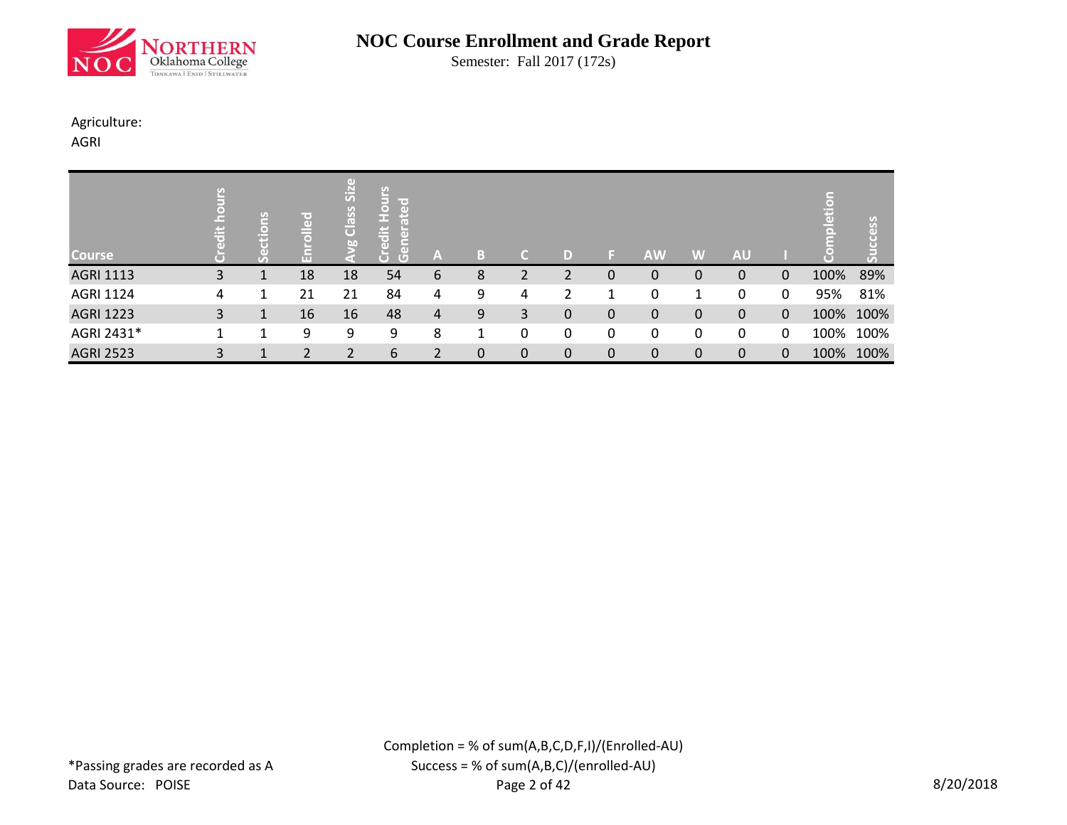

Semester: Fall 2017 (172s)

#### Agriculture:

AGRI

| <b>Course</b>    | $\ddot{\bar{\sigma}}$ | S<br>(⊜)<br>т | ш  | $\left(\mathbf{d}\right)$<br>$\overline{\overline{\overline{S}}}$<br>Class<br>b0 | ုပ္<br><b>Hou</b><br>lin er<br>n.<br>с<br>$\ddot{\bar{\sigma}}$<br>晑<br>$\overline{G}$<br>$\overline{C}$ | A | в |   | D             |              | <b>AW</b>   | W | <b>AU</b> |             | ā    | SS<br>Œ<br>$\mathcal{T}_A$ |
|------------------|-----------------------|---------------|----|----------------------------------------------------------------------------------|----------------------------------------------------------------------------------------------------------|---|---|---|---------------|--------------|-------------|---|-----------|-------------|------|----------------------------|
| <b>AGRI 1113</b> | 3                     |               | 18 | 18                                                                               | 54                                                                                                       | 6 | 8 |   |               | 0            | 0           | 0 | 0         | 0           | 100% | 89%                        |
| <b>AGRI 1124</b> | 4                     |               | 21 | 21                                                                               | 84                                                                                                       | 4 | 9 | 4 | $\mathcal{P}$ | 1            | 0           | 1 | 0         | 0           | 95%  | 81%                        |
| <b>AGRI 1223</b> | 3                     |               | 16 | 16                                                                               | 48                                                                                                       | 4 | 9 | 3 | $\mathbf 0$   | $\mathbf{0}$ | $\mathbf 0$ | 0 | 0         | 0           | 100% | 100%                       |
| AGRI 2431*       |                       |               | 9  | 9                                                                                | 9                                                                                                        | 8 |   | 0 | 0             | 0            | 0           | 0 | 0         | 0           | 100% | 100%                       |
| <b>AGRI 2523</b> | 3                     |               |    |                                                                                  | 6                                                                                                        |   | 0 | 0 | $\mathbf 0$   | 0            | 0           | 0 | 0         | $\mathbf 0$ | 100% | 100%                       |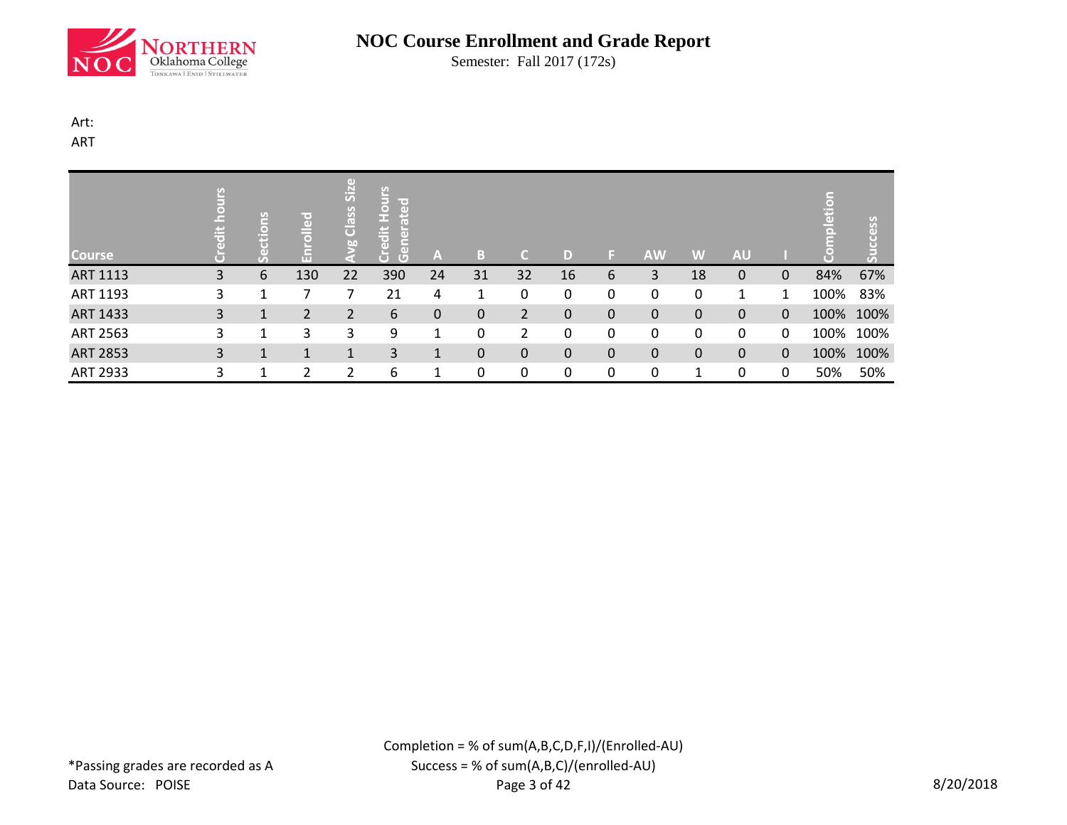

Semester: Fall 2017 (172s)

#### Art:

ART

| <b>Course</b>   | 븜 |   | 공   | Size<br>Class<br>bo | <b>Hours</b><br>ated<br><u>iit</u><br>$\overline{G}$<br>Ō | A           | В  | a           | D            | 151         | <b>AW</b> | W        | <b>AU</b>    |          | 끟    | ess       |
|-----------------|---|---|-----|---------------------|-----------------------------------------------------------|-------------|----|-------------|--------------|-------------|-----------|----------|--------------|----------|------|-----------|
| ART 1113        | 3 | 6 | 130 | 22                  | 390                                                       | 24          | 31 | 32          | 16           | 6           | 3         | 18       | 0            | 0        | 84%  | 67%       |
| ART 1193        | 3 |   |     |                     | 21                                                        | 4           | 1  | 0           | 0            | 0           | 0         | 0        | 1            | 1        | 100% | 83%       |
| ART 1433        | 3 |   | 2   | $\overline{2}$      | 6                                                         | $\mathbf 0$ | 0  | 2           | $\mathbf 0$  | $\mathbf 0$ | 0         | $\Omega$ | $\Omega$     | $\Omega$ |      | 100% 100% |
| ART 2563        | 3 |   | 3   | 3                   | 9                                                         | 1           | 0  | 2           | 0            | 0           | 0         | 0        | 0            | 0        |      | 100% 100% |
| <b>ART 2853</b> | 3 | 1 | 1   | $\mathbf{1}$        | 3                                                         | 1           | 0  | $\mathbf 0$ | $\mathbf{0}$ | 0           | 0         | 0        | $\mathbf{0}$ | $\Omega$ |      | 100% 100% |
| ART 2933        | 3 |   | ີ   | ำ                   | 6                                                         |             | 0  | 0           | 0            | 0           | 0         |          | 0            | 0        | 50%  | 50%       |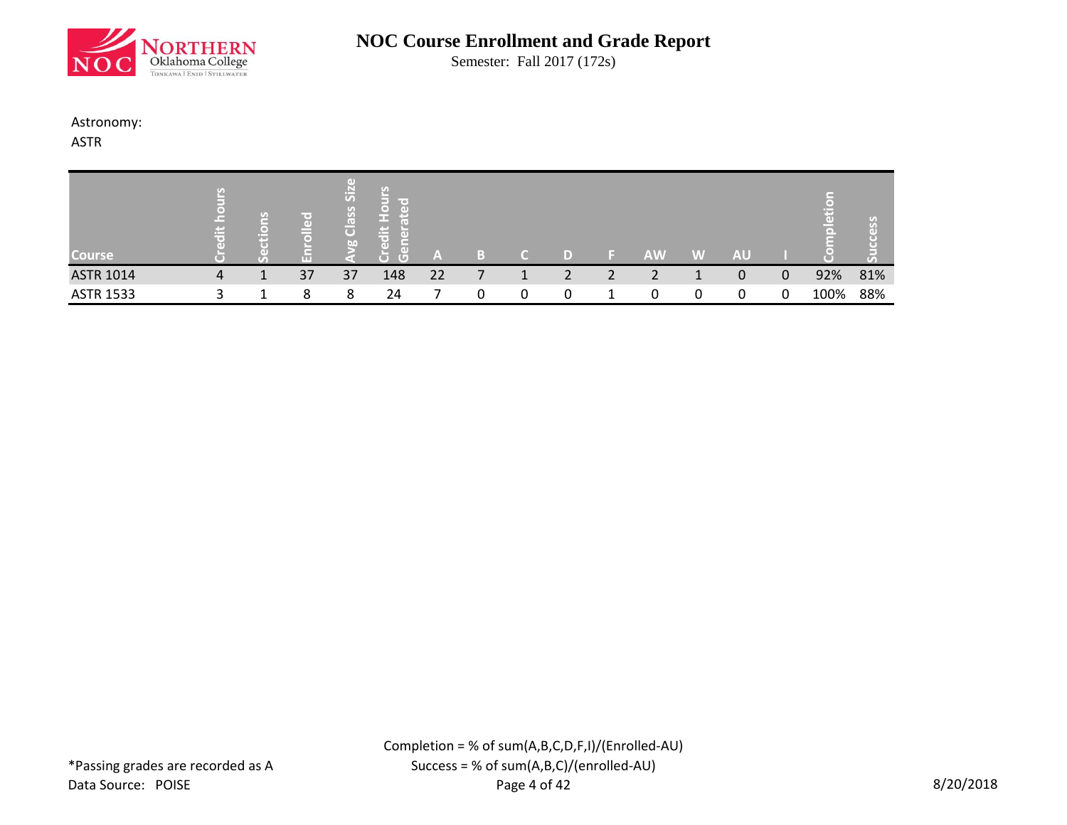

Semester: Fall 2017 (172s)

#### Astronomy:

ASTR

| <b>Course</b>    | وستبرز<br>$\sim$ | πг | (1)<br>Si <sub>2</sub><br>ssel<br>$\overline{C}$<br>b <sub>0</sub> | lle ar<br><b>F</b><br>ΓøΝ<br>$\overline{G}$<br>O | A  |   |  | AW | W | AU |   |      |     |
|------------------|------------------|----|--------------------------------------------------------------------|--------------------------------------------------|----|---|--|----|---|----|---|------|-----|
| <b>ASTR 1014</b> | 4                | 37 | 37                                                                 | 148                                              | 22 | ∸ |  |    |   | 0  | 0 | 92%  | 81% |
| <b>ASTR 1533</b> |                  | 8  | 8                                                                  | 24                                               |    |   |  | 0  | 0 |    | 0 | 100% | 88% |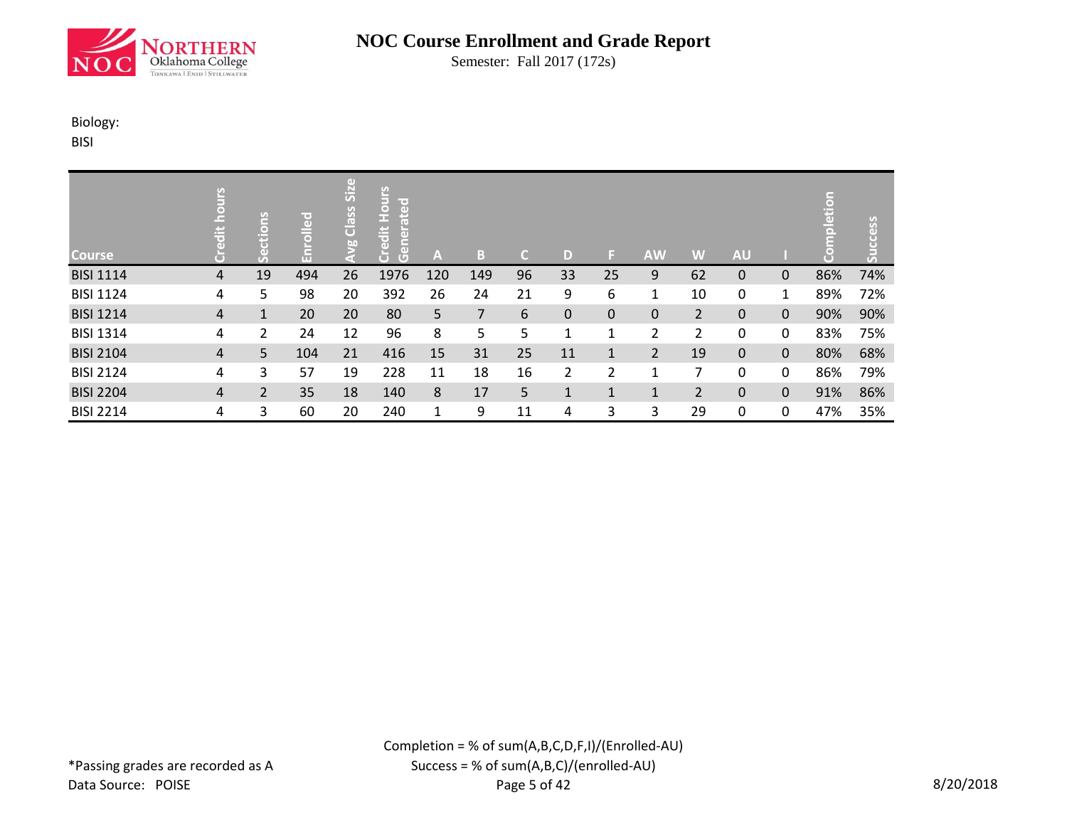

Semester: Fall 2017 (172s)

#### Biology:

BISI

| <b>Course</b>    |   | <b>Suo</b><br>$\sigma$ | (=)<br>$\overline{a}$<br>$\overline{\bullet}$<br>운 | $\left( \mathrm{d} \right)$<br>SiZ<br>Class<br>bn | <b>Hours</b><br>lmed<br>lei<br>$\frac{1}{10}$<br>$\overline{5}$<br>5<br>Ğ | $\mathbf{A}$ | Æ,  | C. | D            | E.           | <b>AW</b>      | W              | <b>AU</b> |              | etion | cess<br>Suc |
|------------------|---|------------------------|----------------------------------------------------|---------------------------------------------------|---------------------------------------------------------------------------|--------------|-----|----|--------------|--------------|----------------|----------------|-----------|--------------|-------|-------------|
| <b>BISI 1114</b> | 4 | 19                     | 494                                                | 26                                                | 1976                                                                      | 120          | 149 | 96 | 33           | 25           | 9              | 62             | 0         | $\Omega$     | 86%   | 74%         |
| <b>BISI 1124</b> | 4 | 5                      | 98                                                 | 20                                                | 392                                                                       | 26           | 24  | 21 | 9            | 6            | 1              | 10             | 0         | $\mathbf{1}$ | 89%   | 72%         |
| <b>BISI 1214</b> | 4 | $\mathbf{1}$           | 20                                                 | 20                                                | 80                                                                        | 5            | 7   | 6  | 0            | 0            | 0              | 2              | 0         | $\mathbf 0$  | 90%   | 90%         |
| <b>BISI 1314</b> | 4 | $\overline{2}$         | 24                                                 | 12                                                | 96                                                                        | 8            | 5   | 5  | 1            | 1            | 2              | $\overline{2}$ | 0         | 0            | 83%   | 75%         |
| <b>BISI 2104</b> | 4 | 5                      | 104                                                | 21                                                | 416                                                                       | 15           | 31  | 25 | 11           | $\mathbf{1}$ | $\overline{2}$ | 19             | $\Omega$  | $\mathbf{0}$ | 80%   | 68%         |
| <b>BISI 2124</b> | 4 | 3                      | 57                                                 | 19                                                | 228                                                                       | 11           | 18  | 16 | 2            | 2            | 1              | 7              | 0         | 0            | 86%   | 79%         |
| <b>BISI 2204</b> | 4 | $\overline{2}$         | 35                                                 | 18                                                | 140                                                                       | 8            | 17  | 5  | $\mathbf{1}$ | 1            | 1              | $\overline{2}$ | 0         | $\mathbf{0}$ | 91%   | 86%         |
| <b>BISI 2214</b> | 4 | 3                      | 60                                                 | 20                                                | 240                                                                       | 1            | 9   | 11 | 4            | 3            | 3              | 29             | 0         | $\mathbf{0}$ | 47%   | 35%         |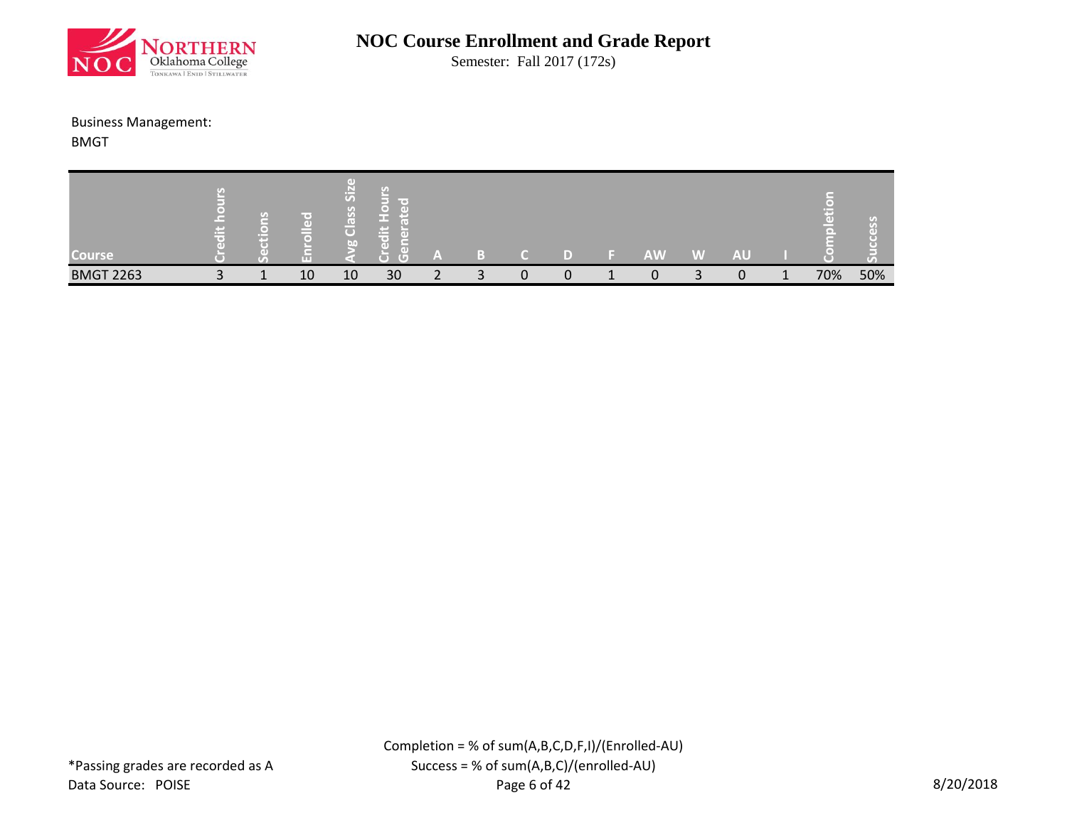

Semester: Fall 2017 (172s)

#### Business Management:

BMGT

| <b>Course</b>    | 1999.<br>œ | $\overline{1}$<br>a ma | m  | GD.<br>$\ddot{5}$<br>$\overline{(\cdot)}$<br>$\mathcal{G}$<br>l (*)<br>Õ<br><b>I</b> bn | lir oʻ<br><b>Contract</b><br>▭<br>Кo<br>ᢑ<br>ъ | A | m      |  | <b>AW</b> | W | AU |     | ( ه "<br>о п |
|------------------|------------|------------------------|----|-----------------------------------------------------------------------------------------|------------------------------------------------|---|--------|--|-----------|---|----|-----|--------------|
| <b>BMGT 2263</b> |            |                        | 10 | 10                                                                                      | 30                                             | ∽ | ∽<br>◡ |  | n         |   |    | 70% | 50%          |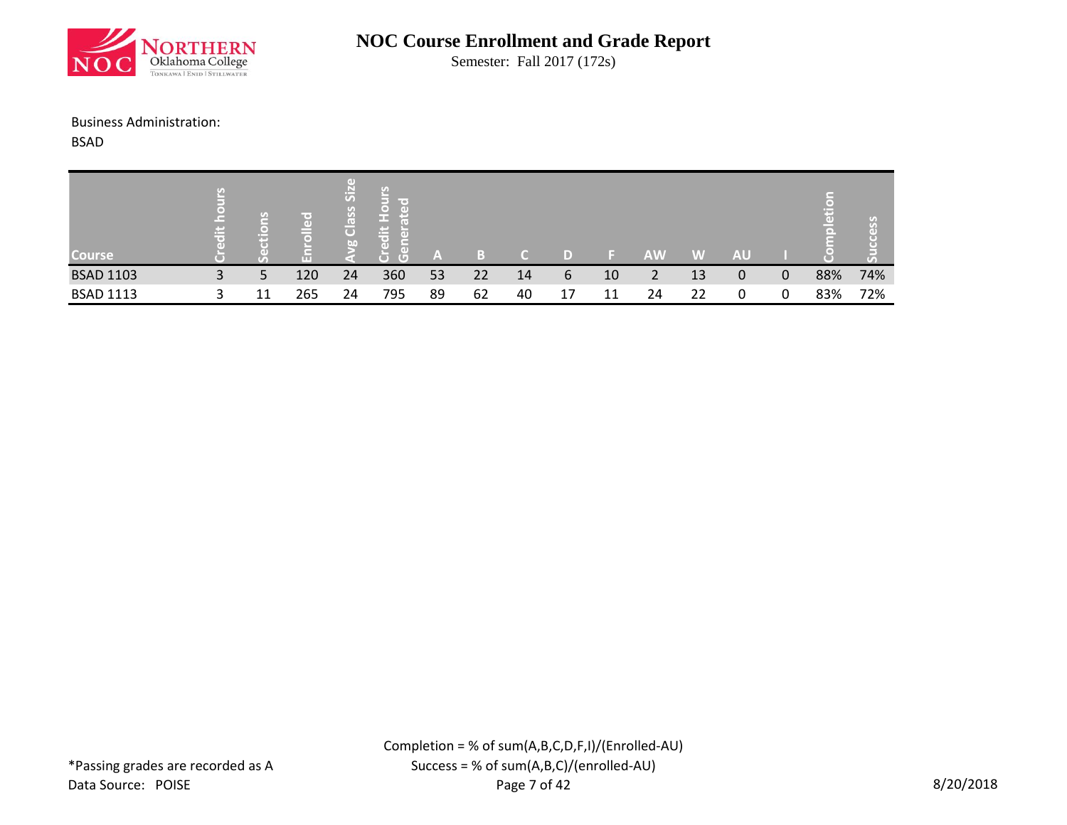

Semester: Fall 2017 (172s)

#### Business Administration:

BSAD

| <b>Course</b>    | $\mathbf{r}$ |   | T O'<br>$\left( 1 \right)$<br>G | GD)<br>Si <sub>z</sub><br>$\mathfrak{c}_0$<br>S,<br>$\overline{C}$<br><b>b.0</b> | U)<br>in the S<br>l ( o )<br>۰D<br>r w<br>$\equiv$<br>$\Box$<br>ir er<br>пT<br>$\left( 1\right)$<br>Æ<br>C | A  | 61 |    |    |    | AW | W  | AU |     | U a |
|------------------|--------------|---|---------------------------------|----------------------------------------------------------------------------------|------------------------------------------------------------------------------------------------------------|----|----|----|----|----|----|----|----|-----|-----|
| <b>BSAD 1103</b> | 3            | 5 | 120                             | 24                                                                               | 360                                                                                                        | 53 | 22 | 14 | 6  | 10 |    | 13 | 0  | 88% | 74% |
| <b>BSAD 1113</b> |              |   | 265                             | 24                                                                               | 795                                                                                                        | 89 | 62 | 40 | 17 | 11 | 24 | 22 |    | 83% | 72% |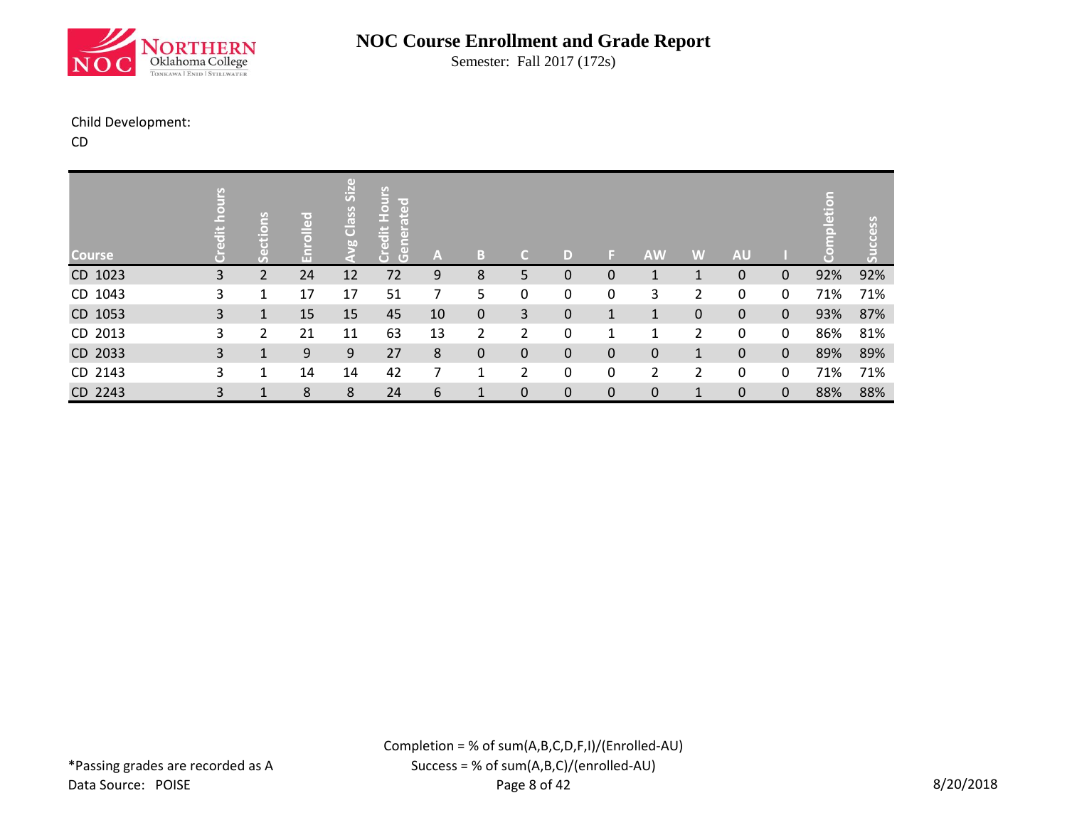

Semester: Fall 2017 (172s)

#### Child Development:

CD

| <b>Course</b> | edit | <b>SU</b><br>$\Box$<br>Ĕ<br>O)<br>77 | g<br>$\bar{1}$ | O<br>SiZ<br>Class<br>60 | Hours<br>lir er<br>Le<br>edit<br>ò<br>$\mathfrak{S}$ | $\mathbf{A}$ | B            | $\mathsf{C}$   | D | ы            | <b>AW</b> | W              | <b>AU</b>    |              | $\overline{a}$<br>Ξ | cess |
|---------------|------|--------------------------------------|----------------|-------------------------|------------------------------------------------------|--------------|--------------|----------------|---|--------------|-----------|----------------|--------------|--------------|---------------------|------|
| CD 1023       | 3    | 2                                    | 24             | 12                      | 72                                                   | 9            | 8            | 5              | 0 | 0            |           |                | 0            | $\Omega$     | 92%                 | 92%  |
| CD 1043       | 3    | $\mathbf 1$                          | 17             | 17                      | 51                                                   | 7            | 5            | 0              | 0 | 0            | 3         | 2              | 0            | $\mathbf{0}$ | 71%                 | 71%  |
| CD 1053       | 3    | $\mathbf{1}$                         | 15             | 15                      | 45                                                   | 10           | $\mathbf 0$  | 3              | 0 | $\mathbf{1}$ | 1         | $\mathbf{0}$   | $\mathbf{0}$ | $\mathbf 0$  | 93%                 | 87%  |
| CD 2013       | 3    | 2                                    | 21             | 11                      | 63                                                   | 13           | 2            | 2              | 0 | 1            | 1         | $\overline{2}$ | 0            | $\mathbf{0}$ | 86%                 | 81%  |
| CD 2033       | 3    | $\mathbf{1}$                         | 9              | 9                       | 27                                                   | 8            | $\mathbf 0$  | 0              | 0 | 0            | 0         | $\mathbf{1}$   | $\mathbf{0}$ | $\mathbf{0}$ | 89%                 | 89%  |
| CD 2143       | 3    | $\mathbf 1$                          | 14             | 14                      | 42                                                   | 7            | 1            | $\overline{2}$ | 0 | 0            | 2         | 2              | 0            | 0            | 71%                 | 71%  |
| CD 2243       | 3    | 1                                    | 8              | 8                       | 24                                                   | 6            | $\mathbf{1}$ | 0              | 0 | 0            | 0         |                | $\mathbf{0}$ | $\mathbf 0$  | 88%                 | 88%  |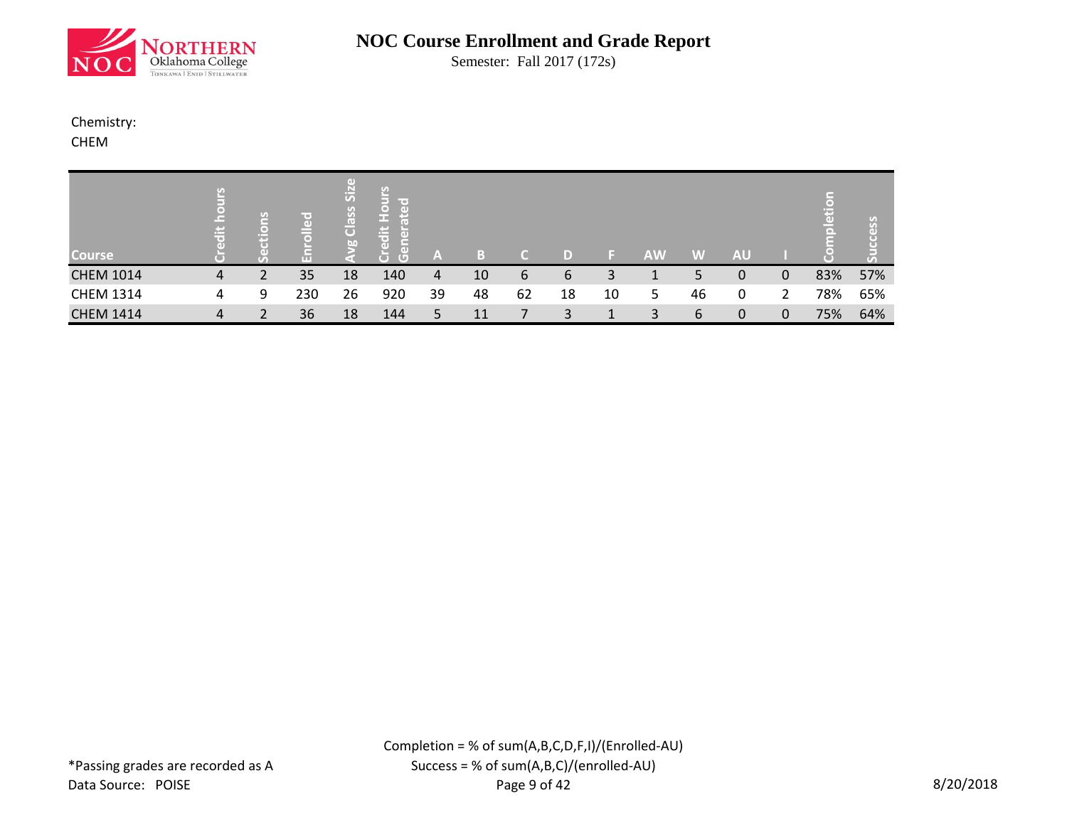

Semester: Fall 2017 (172s)

#### Chemistry: CHEM

| <b>Course</b>    | 흒 | U)<br>$\blacksquare$<br>╾<br>r= | $x \rightarrow y$<br>$\mathbf{d}$<br>$\Box$ | SiZ<br>Class<br>bn | ို<br><b>The Co</b><br>l –<br><b>The Contract</b><br>$\equiv$<br>ō<br>$\mathbf{r}$<br>$\overline{G}$ | A  | в  |    |    |    | <b>AW</b> | W  | <b>AU</b> |   | $\epsilon$<br><b>Ed</b><br>힌 | less<br>r o<br>$\mathcal{T}_\mathbf{a}$ |
|------------------|---|---------------------------------|---------------------------------------------|--------------------|------------------------------------------------------------------------------------------------------|----|----|----|----|----|-----------|----|-----------|---|------------------------------|-----------------------------------------|
| <b>CHEM 1014</b> | 4 |                                 | 35                                          | 18                 | 140                                                                                                  | 4  | 10 | 6  | b  | 3  |           |    |           | 0 | 83%                          | 57%                                     |
| <b>CHEM 1314</b> | 4 | 9                               | 230                                         | 26                 | 920                                                                                                  | 39 | 48 | 62 | 18 | 10 | 5         | 46 |           | າ | 78%                          | 65%                                     |
| <b>CHEM 1414</b> | 4 |                                 | 36                                          | 18                 | 144                                                                                                  |    | 11 |    |    |    | ર         | 6  | 0         | 0 | 75%                          | 64%                                     |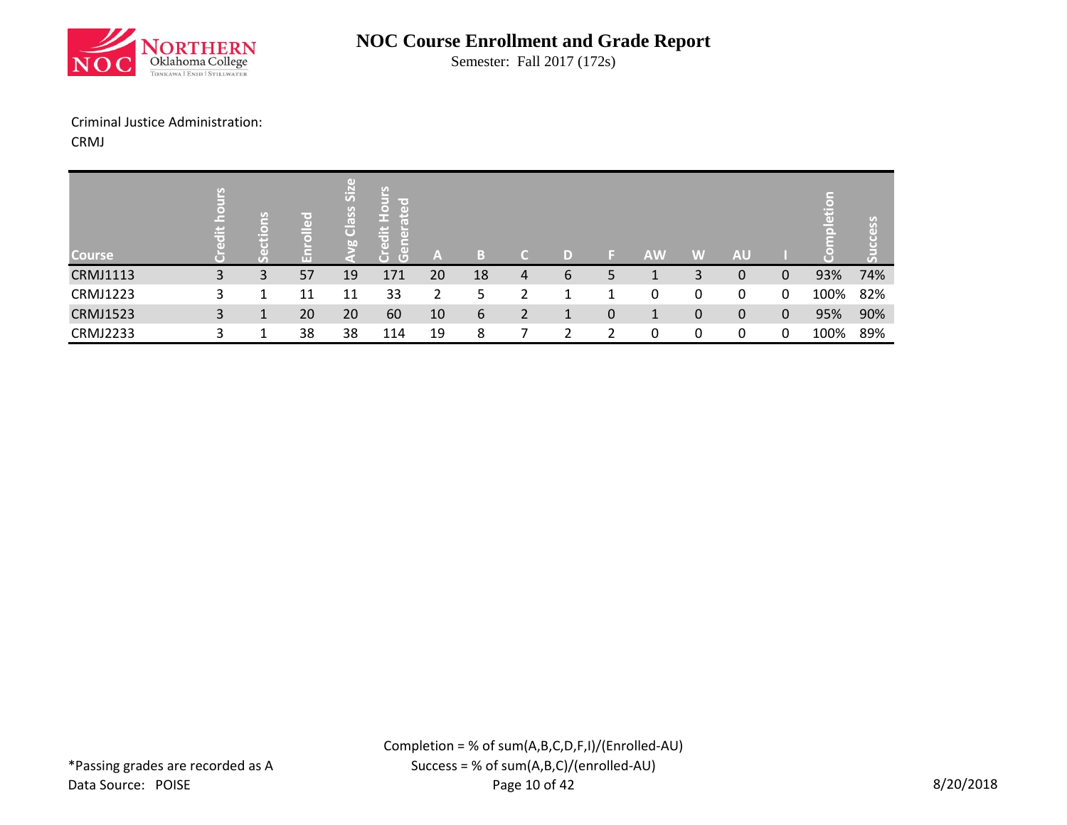

Semester: Fall 2017 (172s)

#### Criminal Justice Administration:

CRMJ

| <b>Course</b>   | 吉  |   | re:<br>$\overline{a}$<br>Гm<br><b>TELE</b> | $\left( \mathrm{d} \right)$<br>SiZ<br>Class<br>bn | San<br>line of<br>$\bullet$<br>$\overline{a}$<br>Е<br>£Ξ<br>ιŧ<br>Œ<br>l5,<br>$\overline{a}$<br>$\overline{G}$<br>О | A  | в  |   | D) |   | <b>AW</b> | VAV/ | <b>AU</b> |              | Ë    | S.  |
|-----------------|----|---|--------------------------------------------|---------------------------------------------------|---------------------------------------------------------------------------------------------------------------------|----|----|---|----|---|-----------|------|-----------|--------------|------|-----|
| <b>CRMJ1113</b> | 3  | 3 | 57                                         | 19                                                | 171                                                                                                                 | 20 | 18 | 4 | b  | כ |           | 3    | 0         | 0            | 93%  | 74% |
| <b>CRMJ1223</b> | 3. |   | 11                                         | 11                                                | 33                                                                                                                  | 2  | 5  |   |    |   | 0         | 0    | 0         | 0            | 100% | 82% |
| <b>CRMJ1523</b> | 3  |   | 20                                         | 20                                                | 60                                                                                                                  | 10 | 6  |   |    | 0 | 1         | 0    | 0         | $\mathbf{0}$ | 95%  | 90% |
| <b>CRMJ2233</b> |    |   | 38                                         | 38                                                | 114                                                                                                                 | 19 | 8  |   |    |   | 0         | 0    | 0         | 0            | 100% | 89% |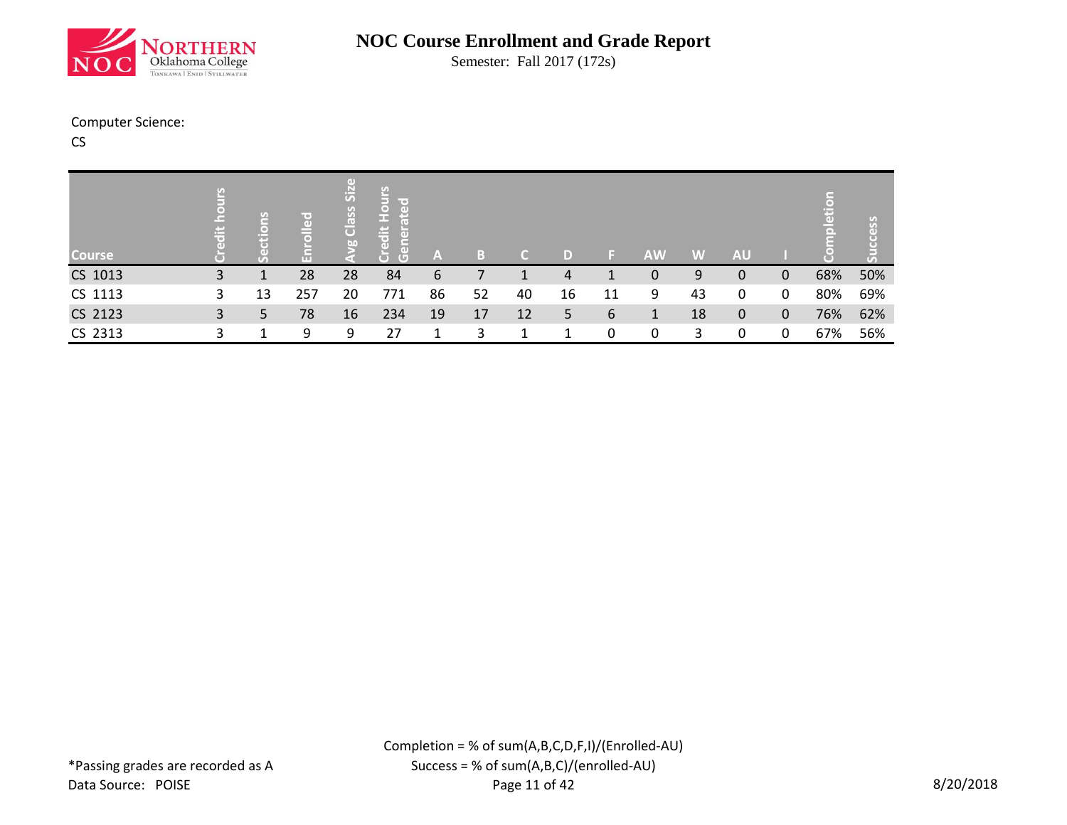

Semester: Fall 2017 (172s)

#### Computer Science:

CS

| <b>Course</b> | 出 | $\Box$<br>p. | 공<br>$\bullet$<br>ш | Œ<br>$\overline{\overline{\overline{\overline{S}}}}$<br>Class<br>bn | ပ္ပ<br>F<br>ਾਕ<br>Tal<br>$\overline{a}$<br>l हैं<br>$\frac{1}{2}$<br>ō<br>lē,<br>Ğ<br>Ū | $\mathbb{A}$ |    |    | D) |    | <b>AW</b> | W  | <b>AU</b> |             | Ξ   | <u>S</u><br>Œ |
|---------------|---|--------------|---------------------|---------------------------------------------------------------------|-----------------------------------------------------------------------------------------|--------------|----|----|----|----|-----------|----|-----------|-------------|-----|---------------|
| CS 1013       | 3 |              | 28                  | 28                                                                  | 84                                                                                      | 6            |    |    | 4  |    | 0         | 9  |           | $\Omega$    | 68% | 50%           |
| CS 1113       | 3 | 13           | 257                 | 20                                                                  | 771                                                                                     | 86           | 52 | 40 | 16 | 11 | 9         | 43 | 0         | 0           | 80% | 69%           |
| CS 2123       | 3 | 5            | 78                  | 16                                                                  | 234                                                                                     | 19           | 17 | 12 | 5. | 6  |           | 18 | 0         | $\mathbf 0$ | 76% | 62%           |
| CS 2313       |   |              | 9                   | 9                                                                   | 27                                                                                      |              |    |    |    | 0  | 0         | 3  | 0         | $\Omega$    | 67% | 56%           |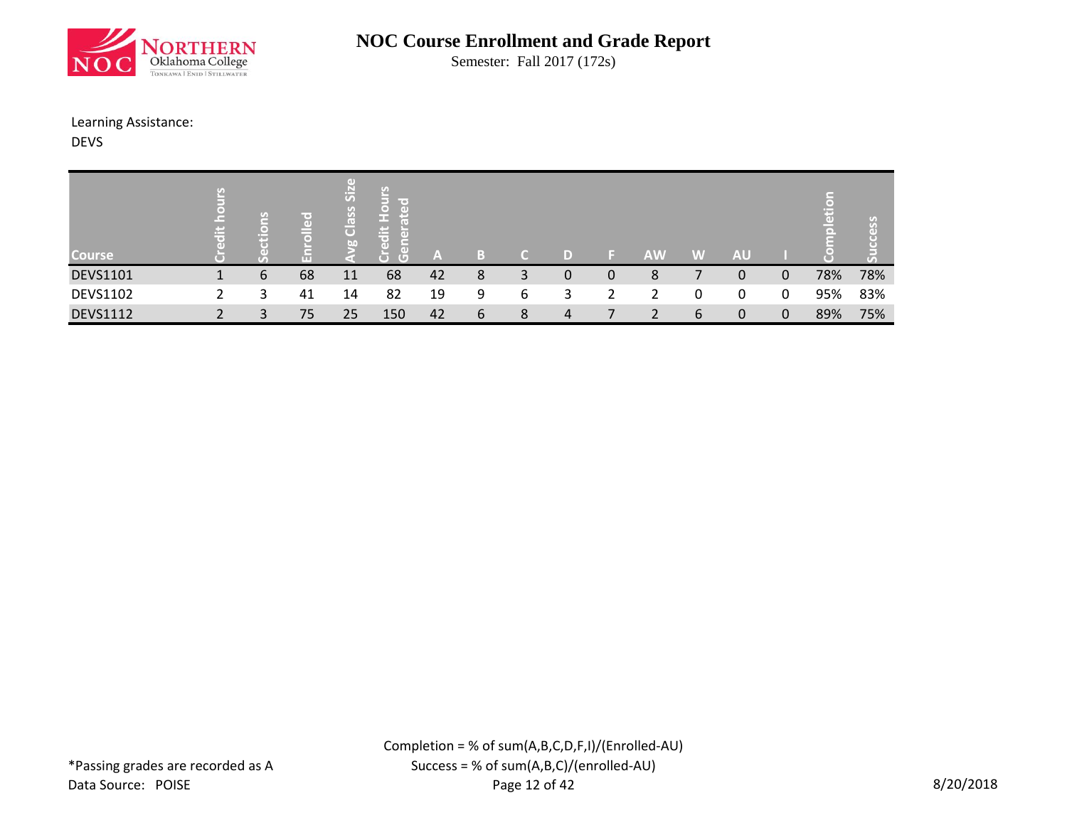

Semester: Fall 2017 (172s)

#### Learning Assistance:

DEVS

| <b>Course</b>   | $\tau_{s1}$<br>$\epsilon$<br>兰 |   | T®)<br>$\left($<br>l o | ПT<br>SiZ<br>Class<br>b | <u>ی</u><br>line of<br>o<br>(e)<br>œ<br>ä<br>T.T.<br>m.<br>ΓøΝ<br>$\overline{G}$<br>Ō | A  | B |   |   |    | <b>AW</b> | VAV. | <b>AU</b> |   | m.<br>Tari | $\alpha$ |
|-----------------|--------------------------------|---|------------------------|-------------------------|---------------------------------------------------------------------------------------|----|---|---|---|----|-----------|------|-----------|---|------------|----------|
| <b>DEVS1101</b> |                                | 6 | 68                     | 11                      | 68                                                                                    | 42 | 8 | 3 | 0 | 0  | 8         |      | 0         | 0 | 78%        | 78%      |
| <b>DEVS1102</b> |                                | 3 | 41                     | 14                      | 82                                                                                    | 19 | 9 | 6 | 3 | ົາ |           | 0    | 0         | 0 | 95%        | 83%      |
| <b>DEVS1112</b> |                                | 2 | 75                     | 25                      | 150                                                                                   | 42 | 6 | 8 | 4 |    |           | 6    | 0         | 0 | 89%        | 75%      |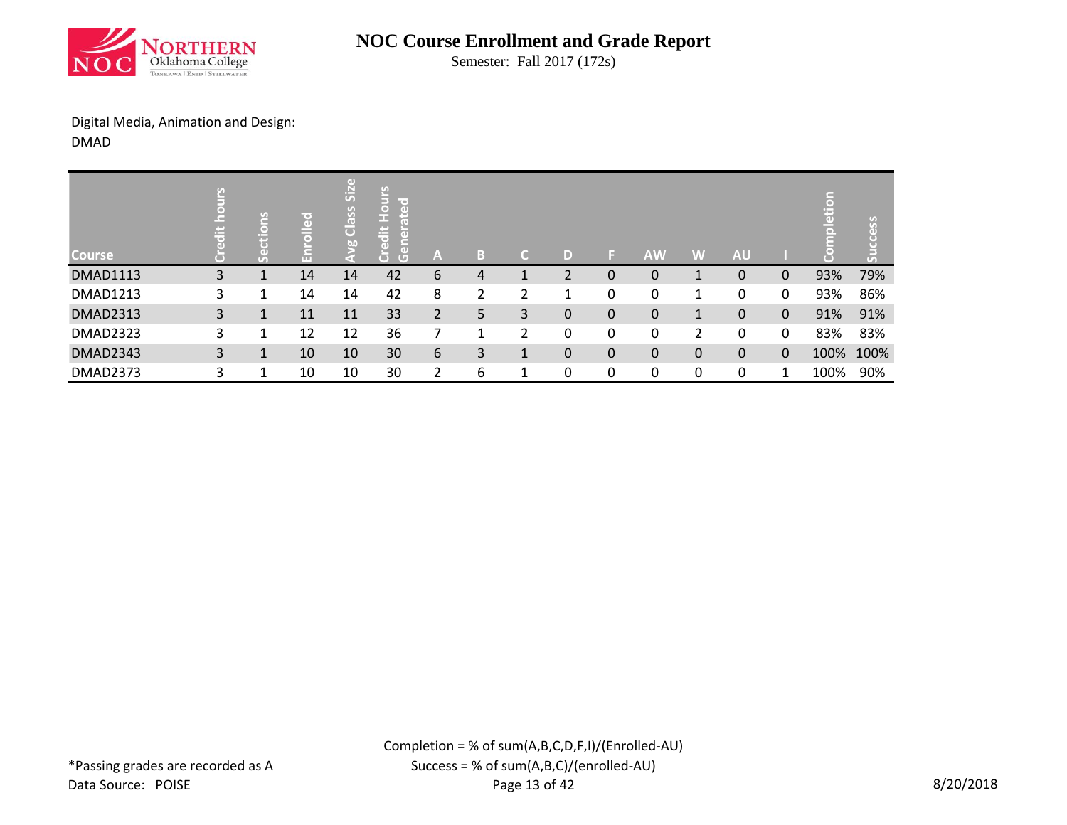

Semester: Fall 2017 (172s)

Digital Media, Animation and Design: DMAD

| <b>Course</b>   | $\ddot{\bar{\sigma}}$ | ဥ           | ၉<br>G<br>īπ | GD)<br>$\overline{\text{Si}}$<br>Class<br>bo | <b>Hours</b><br><b>TO</b><br>ate<br>lite<br>ਨਾ<br>lã,<br>Ğ<br>Ğ | A              | 1 o 1<br>l o) | ۰ | D |   | <b>AW</b> | W | <b>AU</b> |              | Ξ    | ess<br>с |
|-----------------|-----------------------|-------------|--------------|----------------------------------------------|-----------------------------------------------------------------|----------------|---------------|---|---|---|-----------|---|-----------|--------------|------|----------|
| <b>DMAD1113</b> | 3                     |             | 14           | 14                                           | 42                                                              | 6              | 4             |   | ำ | 0 | 0         |   | 0         | 0            | 93%  | 79%      |
| <b>DMAD1213</b> | 3                     |             | 14           | 14                                           | 42                                                              | 8              | 2             | 2 |   | 0 | 0         |   | 0         | 0            | 93%  | 86%      |
| <b>DMAD2313</b> | 3                     | $\mathbf 1$ | 11           | 11                                           | 33                                                              | $\overline{2}$ | 5             | 3 | 0 | 0 | 0         |   | 0         | $\mathbf{0}$ | 91%  | 91%      |
| <b>DMAD2323</b> | 3                     |             | 12           | 12                                           | 36                                                              |                | 1             | 2 | 0 | 0 | 0         | 2 | 0         | 0            | 83%  | 83%      |
| <b>DMAD2343</b> | 3                     |             | 10           | 10                                           | 30                                                              | 6              | 3             |   | 0 | 0 | 0         | 0 | 0         | $\Omega$     | 100% | 100%     |
| <b>DMAD2373</b> | 3                     |             | 10           | 10                                           | 30                                                              | ำ              | 6             | и | 0 | 0 | 0         | 0 | 0         |              | 100% | 90%      |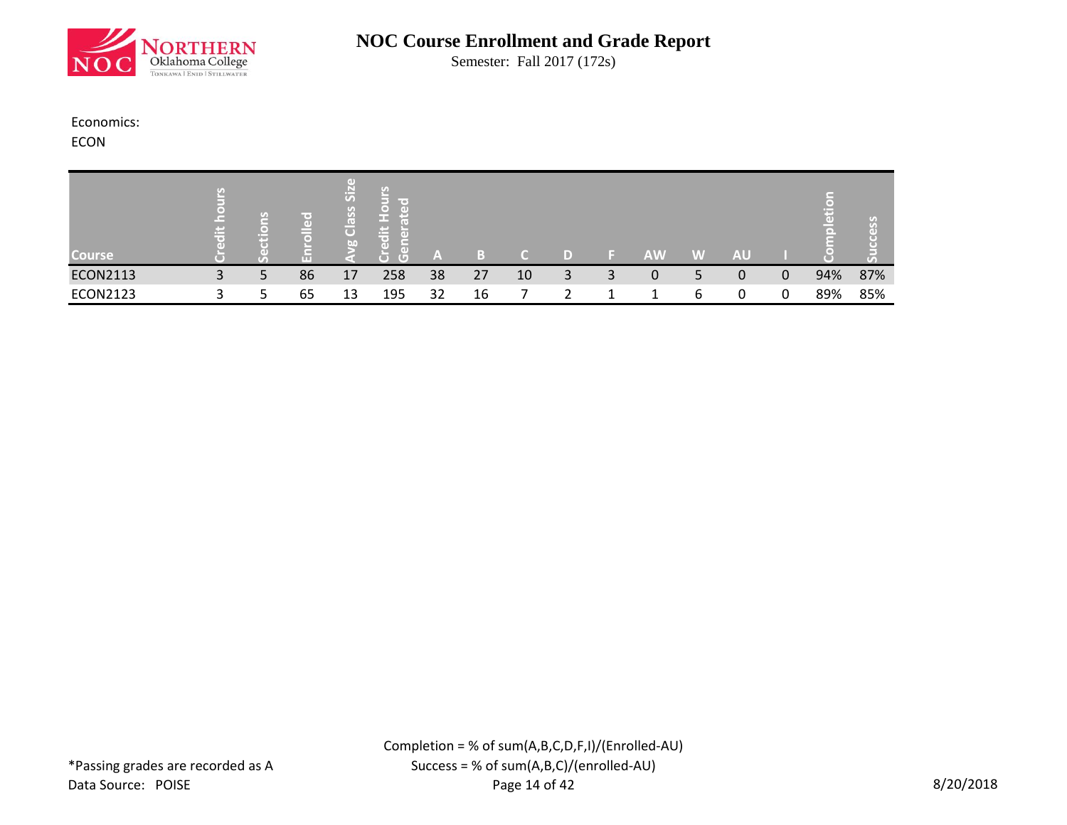

Semester: Fall 2017 (172s)

#### Economics:

ECON

| <b>Course</b>   | <b>Contract</b> |   | ir ext<br>$\left( \mathrm{d} \right)$ | Œ<br>$\ddot{5}$<br>$\sigma$<br>S <sub>6</sub><br>$\overline{C}$<br>bo | le o<br>Γe Β<br><b>The State</b><br>$\pm$<br>пF<br>īΘ,<br>f e Di<br>пn<br>$\Box$ | A  |    |    |   |   | <b>AW</b> | VAV. | AU |   |     | $\epsilon$ |
|-----------------|-----------------|---|---------------------------------------|-----------------------------------------------------------------------|----------------------------------------------------------------------------------|----|----|----|---|---|-----------|------|----|---|-----|------------|
| <b>ECON2113</b> | 3               | ь | 86                                    | 17                                                                    | 258                                                                              | 38 | 27 | 10 | 3 | 3 | 0         |      | 0  | 0 | 94% | 87%        |
| <b>ECON2123</b> |                 |   | 65                                    | 13                                                                    | 195                                                                              | 32 | 16 |    |   |   |           | 6    |    |   | 89% | 85%        |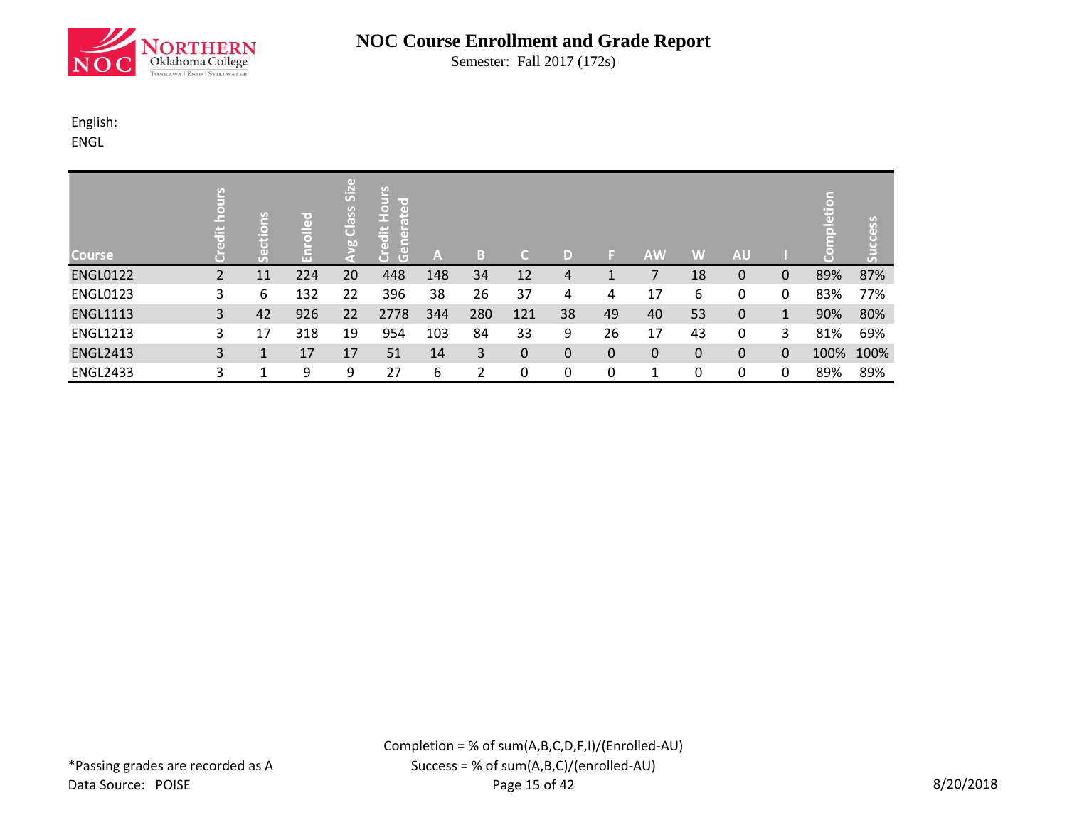

Semester: Fall 2017 (172s)

# English:

ENGL

| <b>Course</b>   | o 1<br>품 |    | ᄝ   | Size<br>Class<br>bo | <b>Hours</b><br>ted<br><b>Fibe</b><br>င်<br>$\overline{G}$ | A   | В   | ٨I           | D  |    | <b>AW</b> | W        | <b>AU</b> |              | K-<br>eti | ccess<br>굶 |
|-----------------|----------|----|-----|---------------------|------------------------------------------------------------|-----|-----|--------------|----|----|-----------|----------|-----------|--------------|-----------|------------|
| <b>ENGL0122</b> | 2        | 11 | 224 | 20                  | 448                                                        | 148 | 34  | 12           | 4  |    |           | 18       | 0         | 0            | 89%       | 87%        |
| <b>ENGL0123</b> | 3        | 6  | 132 | 22                  | 396                                                        | 38  | 26  | 37           | 4  | 4  | 17        | 6        | 0         | 0            | 83%       | 77%        |
| <b>ENGL1113</b> | 3        | 42 | 926 | 22                  | 2778                                                       | 344 | 280 | 121          | 38 | 49 | 40        | 53       | 0         | $\mathbf{1}$ | 90%       | 80%        |
| <b>ENGL1213</b> | 3        | 17 | 318 | 19                  | 954                                                        | 103 | 84  | 33           | 9  | 26 | 17        | 43       | 0         | 3            | 81%       | 69%        |
| <b>ENGL2413</b> | 3        |    | 17  | 17                  | 51                                                         | 14  | 3   | $\mathbf{0}$ | 0  | 0  | 0         | $\Omega$ | $\Omega$  | $\Omega$     | 100%      | 100%       |
| <b>ENGL2433</b> | 3        |    | 9   | 9                   | 27                                                         | 6   |     | 0            | 0  | 0  |           | 0        | 0         | 0            | 89%       | 89%        |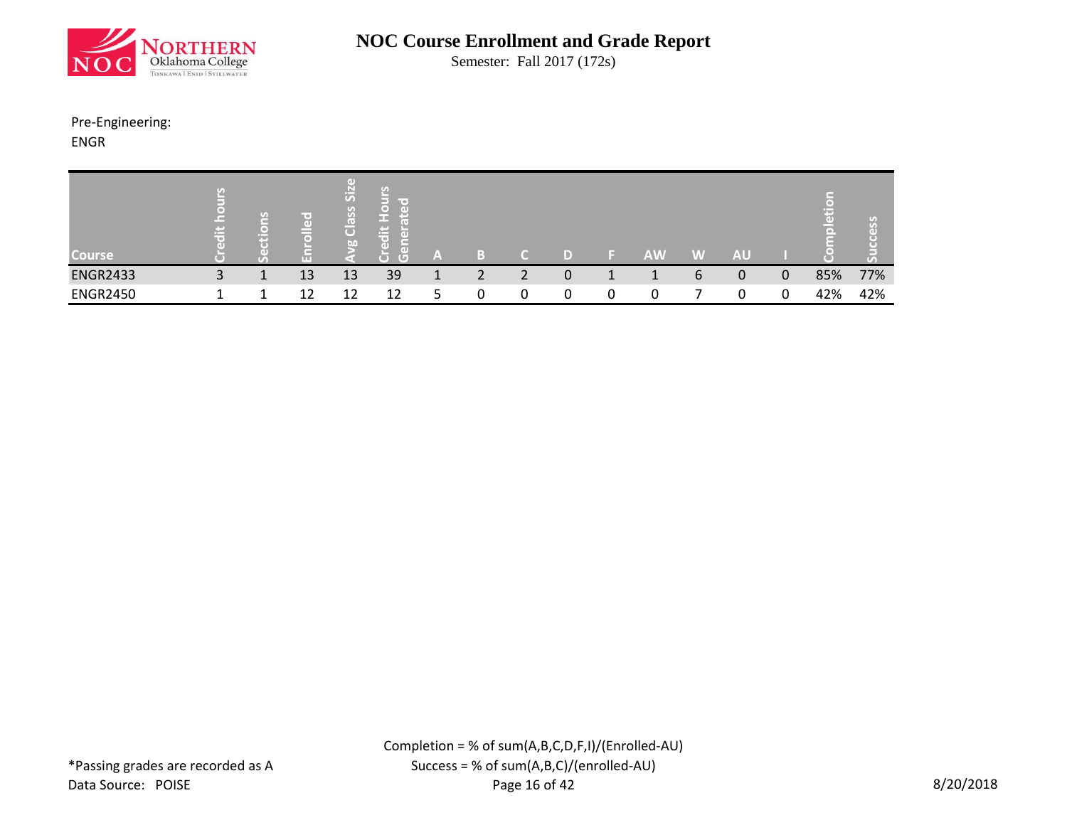

Semester: Fall 2017 (172s)

# Pre-Engineering:

ENGR

| <b>Course</b>   | <b>Property</b><br>œ | $\overline{\phantom{a}}$<br>m | ÆΤ        | $\Box$<br>P<br>洒<br>$\sigma$<br>$\sigma$<br>ÆЧ<br>$\overline{C}$<br>bn | le o<br>œ<br>r.<br>G<br>œ | A  | i m    |  | AW | W | <b>AU</b> |   |     | $(r_A)$ |
|-----------------|----------------------|-------------------------------|-----------|------------------------------------------------------------------------|---------------------------|----|--------|--|----|---|-----------|---|-----|---------|
| <b>ENGR2433</b> | 3                    |                               | 13        | 13                                                                     | 39                        | л. | າ<br>∠ |  |    | b | 0         | 0 | 85% | 77%     |
| <b>ENGR2450</b> |                      |                               | 1 ງ<br>∸∸ | 12                                                                     | 12                        |    |        |  |    |   |           |   | 42% | 42%     |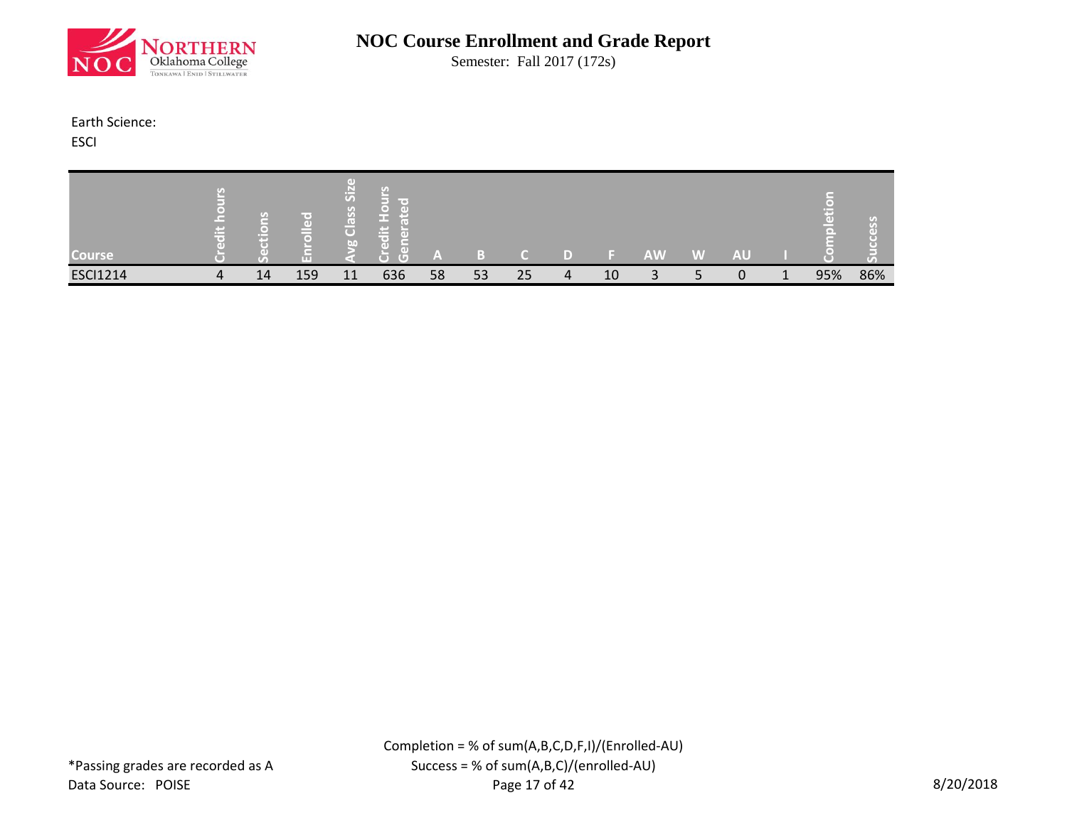

Semester: Fall 2017 (172s)

#### Earth Science:

**ESCI** 

| <b>Course</b>   | τ,<br><b>PO</b><br>$\rightarrow$<br>$\sim$ | U)<br>o۱<br>a ma | m   | GD.<br>$\mathbb{E}$<br>$\overline{u}$<br>S<br>ြီ<br><b>Lan</b> | line of<br><b>Tal</b><br><b>Contract</b><br>œ<br>$\left( 1 \right)$<br>ᢑ<br>τ | A  | Ð  |    |    | AW | A | <b>AU</b> |     | 70<br>m |
|-----------------|--------------------------------------------|------------------|-----|----------------------------------------------------------------|-------------------------------------------------------------------------------|----|----|----|----|----|---|-----------|-----|---------|
| <b>ESCI1214</b> | 4                                          | 14               | 159 | 11                                                             | 636                                                                           | 58 | 53 | 25 | 10 | ∽  |   |           | 95% | 86%     |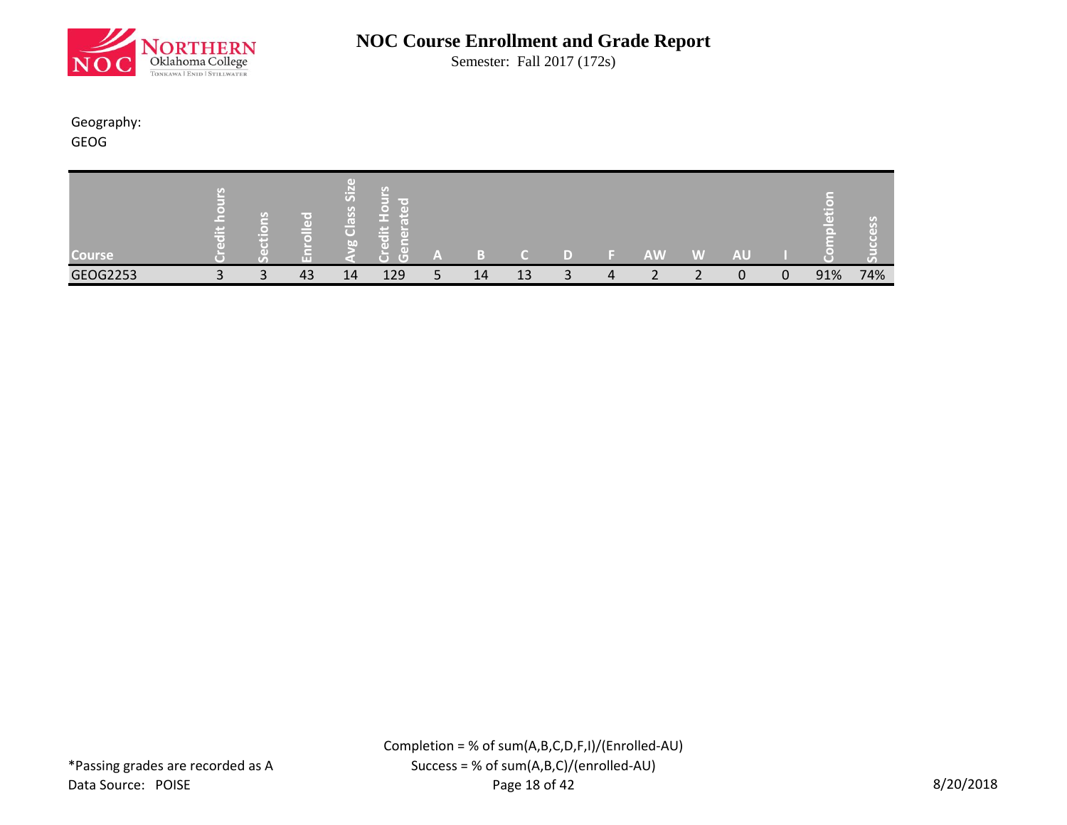

Semester: Fall 2017 (172s)

#### Geography: GEOG

| <b>Course</b> | ۰,۱<br>$\epsilon$<br>$\equiv$ | Œ<br><b>TELE</b> | GD.<br>ြို့<br>$\sigma$<br>$\mathcal{G}$<br>ြီး<br>$b$ <sup>1</sup> | line of<br>a a t<br><b>Contract</b><br>œ<br>П<br><b>G</b><br>$\overline{C}$ | A                   | Ð  |    |                            | <b>AW</b>                | W | AU |   | ÷   | τ,<br>F a 1 |
|---------------|-------------------------------|------------------|---------------------------------------------------------------------|-----------------------------------------------------------------------------|---------------------|----|----|----------------------------|--------------------------|---|----|---|-----|-------------|
| GEOG2253      | $\mathbf{C}$                  | 43               | 14                                                                  | 129                                                                         | $\blacksquare$<br>ے | 14 | 13 | $\boldsymbol{\mathcal{A}}$ | $\overline{\phantom{0}}$ |   |    | 0 | 91% | 74%         |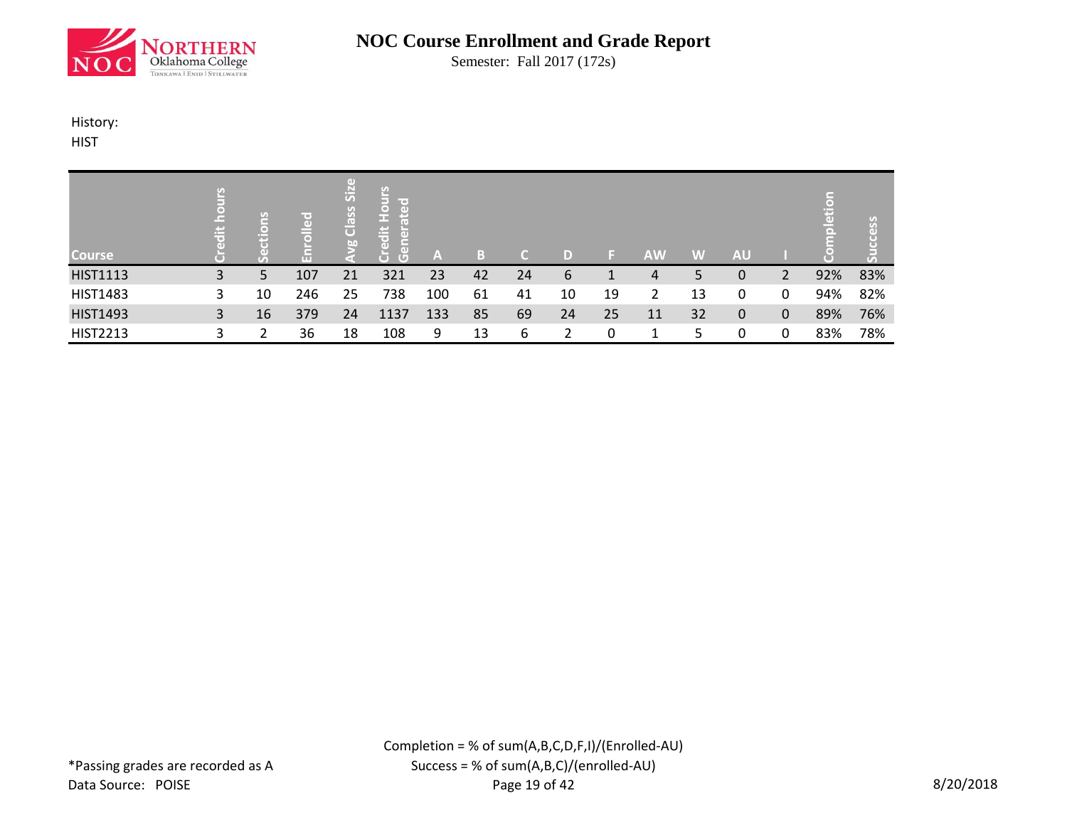

Semester: Fall 2017 (172s)

#### History:

**HIST** 

| <b>Course</b>   | ≝ |    | $\left($ $\right)$<br>$\overline{a}$<br>l (m) | $\left( \mathrm{d} \right)$<br>$\overline{\text{Si}}$<br>Class<br>bn | $rac{1}{2}$<br><b>TO</b><br>$\bullet$<br>GD)<br>E<br>ιŧ<br>ō<br>lã,<br>$\overline{d}$<br>$\overline{G}$<br>O | A   | Ы  |    | D) |    | <b>AW</b> | W  | <b>AU</b> |   | Б   | <u>S</u><br>Œ<br>$\mathfrak{c}_0$ |
|-----------------|---|----|-----------------------------------------------|----------------------------------------------------------------------|--------------------------------------------------------------------------------------------------------------|-----|----|----|----|----|-----------|----|-----------|---|-----|-----------------------------------|
| <b>HIST1113</b> | 3 | 5  | 107                                           | 21                                                                   | 321                                                                                                          | 23  | 42 | 24 | 6  |    | 4         | 5  | 0         |   | 92% | 83%                               |
| <b>HIST1483</b> | 3 | 10 | 246                                           | 25                                                                   | 738                                                                                                          | 100 | 61 | 41 | 10 | 19 |           | 13 | 0         | 0 | 94% | 82%                               |
| <b>HIST1493</b> | 3 | 16 | 379                                           | 24                                                                   | 1137                                                                                                         | 133 | 85 | 69 | 24 | 25 | 11        | 32 | 0         | 0 | 89% | 76%                               |
| <b>HIST2213</b> |   |    | 36                                            | 18                                                                   | 108                                                                                                          | 9   | 13 | 6  |    | 0  |           |    | n         |   | 83% | 78%                               |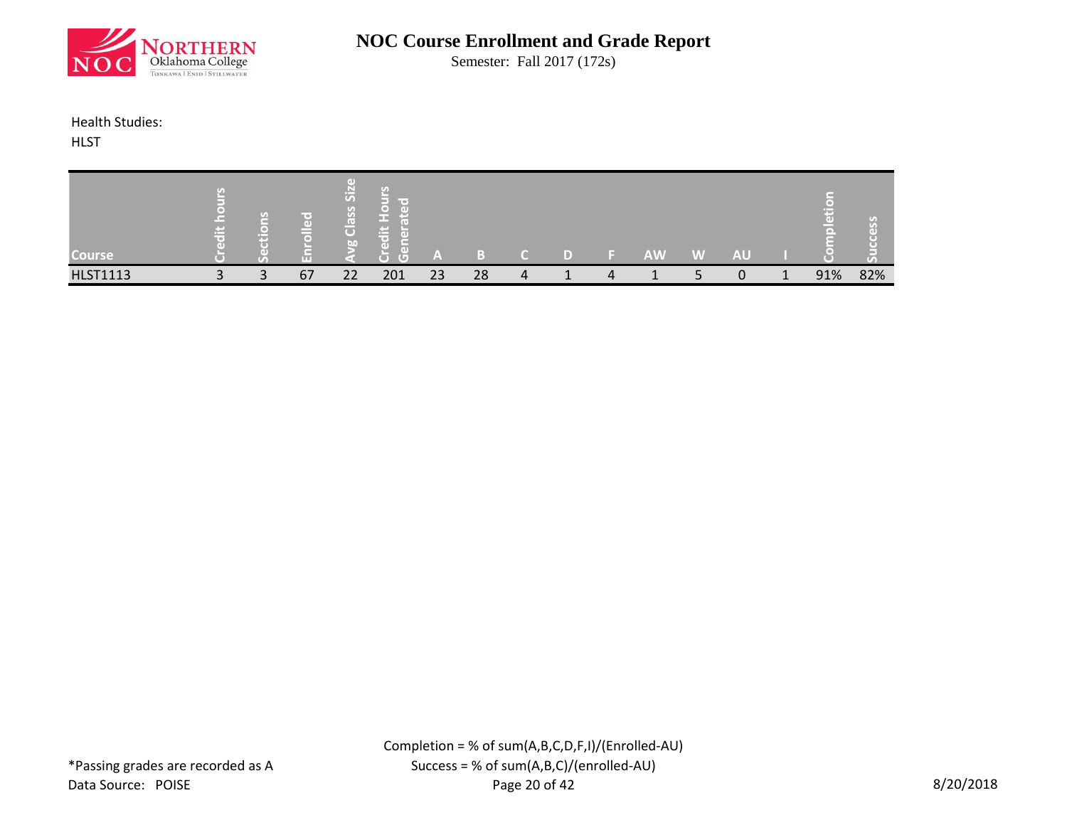

Semester: Fall 2017 (172s)

#### Health Studies:

**HLST** 

| <b>Course</b>   | $-$<br>œ | m<br>Гo<br>m | m<br>ကြံ<br>$\bullet$<br>l On<br>œ<br>$\overline{O}$<br>60 | line of<br>GF<br>$\blacksquare$<br>la st<br><b>Contract</b><br>$\sim$<br>пF<br>GDI<br>$\sqrt{2}$<br>T. | - A |    |  |                  | AV | W | AU |   |     | ا د ۲ |
|-----------------|----------|--------------|------------------------------------------------------------|--------------------------------------------------------------------------------------------------------|-----|----|--|------------------|----|---|----|---|-----|-------|
| <b>HLST1113</b> |          | 67           | 22                                                         | 201                                                                                                    | 23  | 28 |  | $\boldsymbol{A}$ |    |   |    | л | 91% | 82%   |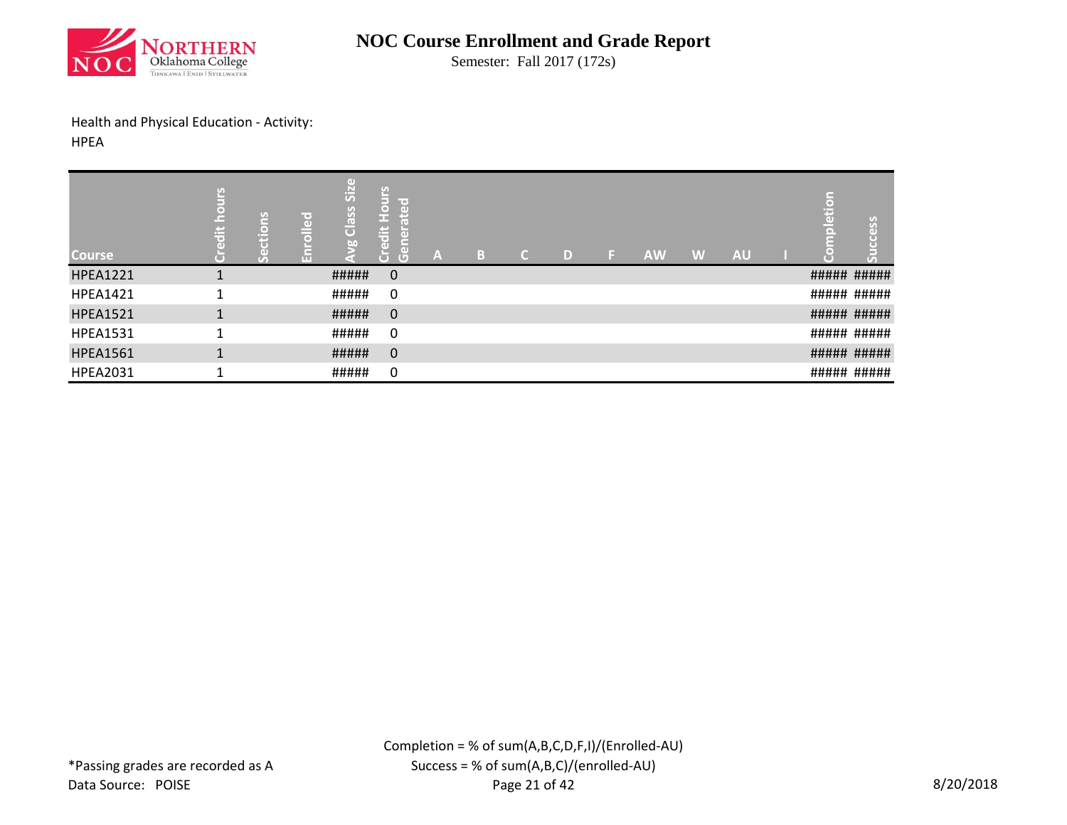

Semester: Fall 2017 (172s)

Health and Physical Education - Activity:

HPEA

| <b>Course</b>   | U.<br>c<br>$\ddot{\vec{a}}$ | ۳<br>(m)<br>н | 공<br>ш | GD)<br>Siz<br>Class<br><b>b.</b> | Sain<br>lines.<br>$\frac{5}{1}$<br>$\overline{a}$<br>ш<br>lä<br>$\overline{d}$<br>$\tilde{5}$<br>$\overline{G}$<br>$\overline{\phantom{a}}$ | A | В | $\mathcal{C}$ | D | IF. | <b>AW</b> | W | <b>AU</b> | (⊜)<br>÷ö | ess<br>$\overline{V_A}$ |
|-----------------|-----------------------------|---------------|--------|----------------------------------|---------------------------------------------------------------------------------------------------------------------------------------------|---|---|---------------|---|-----|-----------|---|-----------|-----------|-------------------------|
| <b>HPEA1221</b> |                             |               |        | #####                            | $\mathbf 0$                                                                                                                                 |   |   |               |   |     |           |   |           |           | ##### #####             |
| <b>HPEA1421</b> |                             |               |        | #####                            | 0                                                                                                                                           |   |   |               |   |     |           |   |           |           | ##### #####             |
| <b>HPEA1521</b> |                             |               |        | #####                            | $\mathbf 0$                                                                                                                                 |   |   |               |   |     |           |   |           |           | ##### #####             |
| <b>HPEA1531</b> |                             |               |        | #####                            | 0                                                                                                                                           |   |   |               |   |     |           |   |           |           | ##### #####             |
| <b>HPEA1561</b> |                             |               |        | #####                            | 0                                                                                                                                           |   |   |               |   |     |           |   |           |           | ##### #####             |
| <b>HPEA2031</b> |                             |               |        | #####                            | 0                                                                                                                                           |   |   |               |   |     |           |   |           |           | ##### #####             |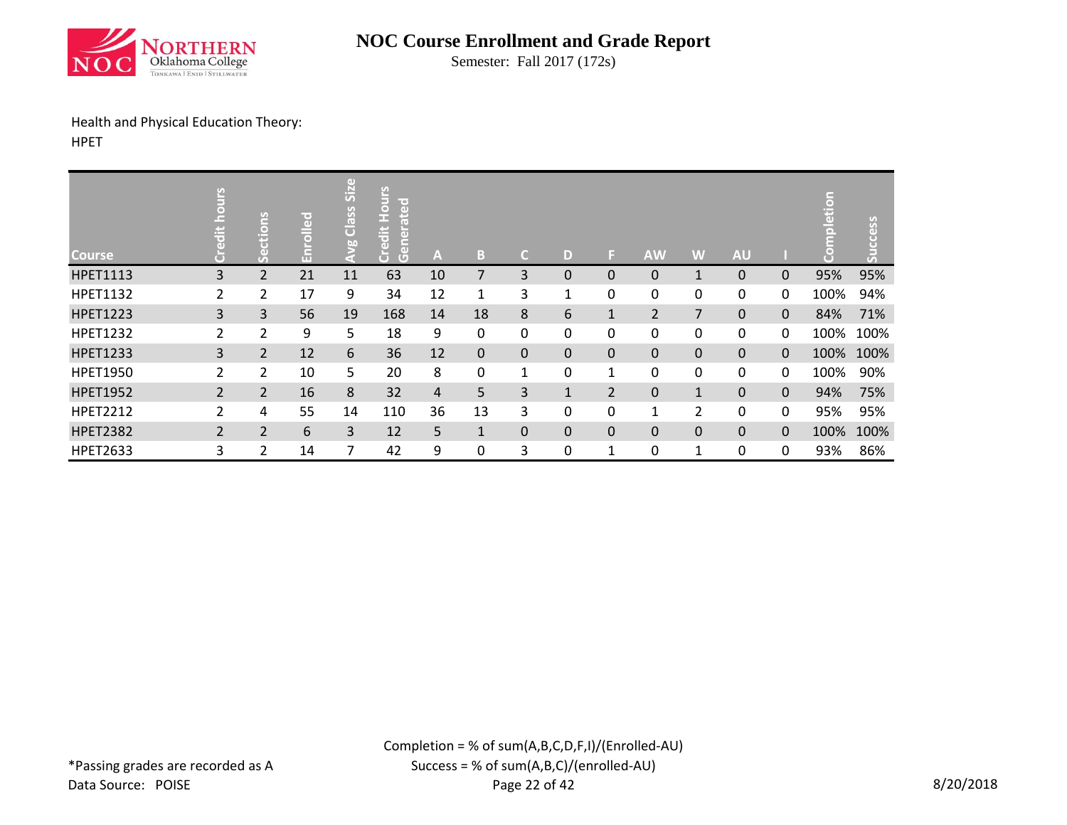

Semester: Fall 2017 (172s)

# Health and Physical Education Theory:

HPET

| <b>Course</b>   | SJIL<br>$\overline{a}$ | Suo            | r = 1<br>$\overline{a}$<br>$\bar{a}$ | Size<br>Class<br>$\leq$ | U)<br><b>Hour:</b><br>lir ed<br>ate<br>ത<br>$\left($<br>ă<br>$\overline{G}$ | A  | B            | C.           | D            | E.             | <b>AW</b>      | W              | <b>AU</b> |          | letion<br>ŢБ<br>$\sqrt{2}$ | cess<br>ōπ |
|-----------------|------------------------|----------------|--------------------------------------|-------------------------|-----------------------------------------------------------------------------|----|--------------|--------------|--------------|----------------|----------------|----------------|-----------|----------|----------------------------|------------|
| <b>HPET1113</b> | 3                      | $\overline{2}$ | 21                                   | 11                      | 63                                                                          | 10 | 7            | 3            | $\Omega$     | 0              | 0              | 1              | 0         | $\Omega$ | 95%                        | 95%        |
| <b>HPET1132</b> | 2                      | $\overline{2}$ | 17                                   | 9                       | 34                                                                          | 12 | 1            | 3            | 1            | 0              | 0              | 0              | 0         | 0        | 100%                       | 94%        |
| <b>HPET1223</b> | 3                      | $\mathbf{3}$   | 56                                   | 19                      | 168                                                                         | 14 | 18           | 8            | 6            | $\mathbf{1}$   | $\overline{2}$ | 7              | $\Omega$  | 0        | 84%                        | 71%        |
| <b>HPET1232</b> | $\overline{2}$         | 2              | 9                                    | 5                       | 18                                                                          | 9  | 0            | $\mathbf{0}$ | 0            | 0              | 0              | 0              | 0         | 0        | 100%                       | 100%       |
| <b>HPET1233</b> | 3                      | $\overline{2}$ | 12                                   | 6                       | 36                                                                          | 12 | 0            | $\mathbf 0$  | $\mathbf 0$  | 0              | 0              | 0              | 0         | 0        | 100%                       | 100%       |
| <b>HPET1950</b> | $\overline{2}$         | 2              | 10                                   | 5                       | 20                                                                          | 8  | $\mathbf{0}$ | 1            | 0            | 1              | 0              | 0              | 0         | 0        | 100%                       | 90%        |
| <b>HPET1952</b> | $\overline{2}$         | $\overline{2}$ | 16                                   | 8                       | 32                                                                          | 4  | 5            | 3            | $\mathbf{1}$ | $\overline{2}$ | 0              | $\mathbf{1}$   | 0         | $\Omega$ | 94%                        | 75%        |
| <b>HPET2212</b> | 2                      | 4              | 55                                   | 14                      | 110                                                                         | 36 | 13           | 3            | 0            | 0              | $\mathbf{1}$   | $\overline{2}$ | 0         | 0        | 95%                        | 95%        |
| <b>HPET2382</b> | $\overline{2}$         | $\overline{2}$ | 6                                    | 3                       | 12                                                                          | 5  | $\mathbf{1}$ | $\Omega$     | $\mathbf 0$  | 0              | 0              | $\Omega$       | 0         | $\Omega$ | 100%                       | 100%       |
| <b>HPET2633</b> | 3                      | 2              | 14                                   | 7                       | 42                                                                          | 9  | $\mathbf{0}$ | 3            | 0            | 1              | 0              | 1              | 0         | 0        | 93%                        | 86%        |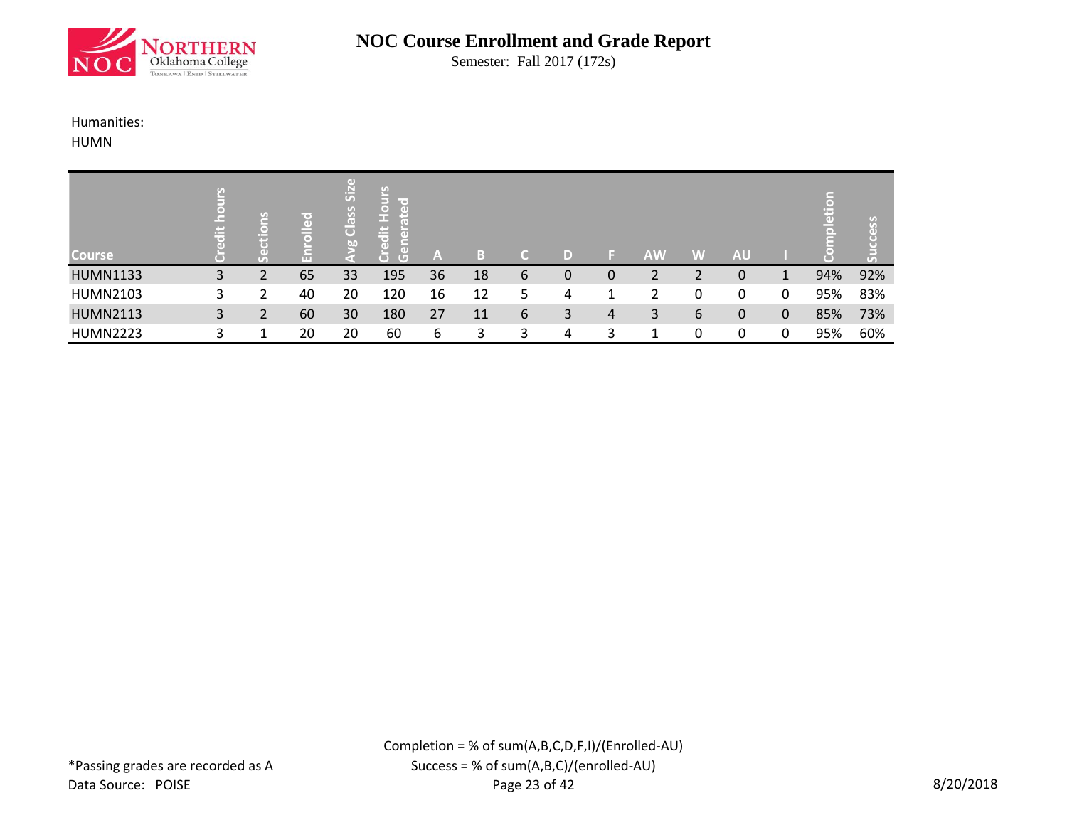

Semester: Fall 2017 (172s)

#### Humanities:

HUMN

| <b>Course</b>   | ät | Æ | ¦r ∞j<br>$\overline{a}$<br>l (m) | $\left( \mathrm{d} \right)$<br>$\overline{\text{Si}}$<br>Class<br>bn | $rac{1}{2}$<br><b>TO</b><br>$\circ$<br>Œ.<br>E<br>£Ξ<br>ä<br>$\overline{a}$<br>lã,<br>m.<br>$\overline{G}$<br>O | A  | в  |   | D) |   | <b>AW</b> | W | <b>AU</b> |   | Е   | <u>S</u><br>Œ<br>$\mathfrak{c}_0$ |
|-----------------|----|---|----------------------------------|----------------------------------------------------------------------|-----------------------------------------------------------------------------------------------------------------|----|----|---|----|---|-----------|---|-----------|---|-----|-----------------------------------|
| <b>HUMN1133</b> | 3  |   | 65                               | 33                                                                   | 195                                                                                                             | 36 | 18 | b | 0  | 0 |           |   | 0         |   | 94% | 92%                               |
| <b>HUMN2103</b> | 3  |   | 40                               | 20                                                                   | 120                                                                                                             | 16 | 12 | 5 | 4  |   |           | 0 | 0         | 0 | 95% | 83%                               |
| <b>HUMN2113</b> | 3  |   | 60                               | 30                                                                   | 180                                                                                                             | 27 | 11 | 6 | 3  | 4 | 3         | 6 | 0         | 0 | 85% | 73%                               |
| <b>HUMN2223</b> |    |   | 20                               | 20                                                                   | 60                                                                                                              | 6  | 2  |   | 4  | ຊ |           | 0 | n         |   | 95% | 60%                               |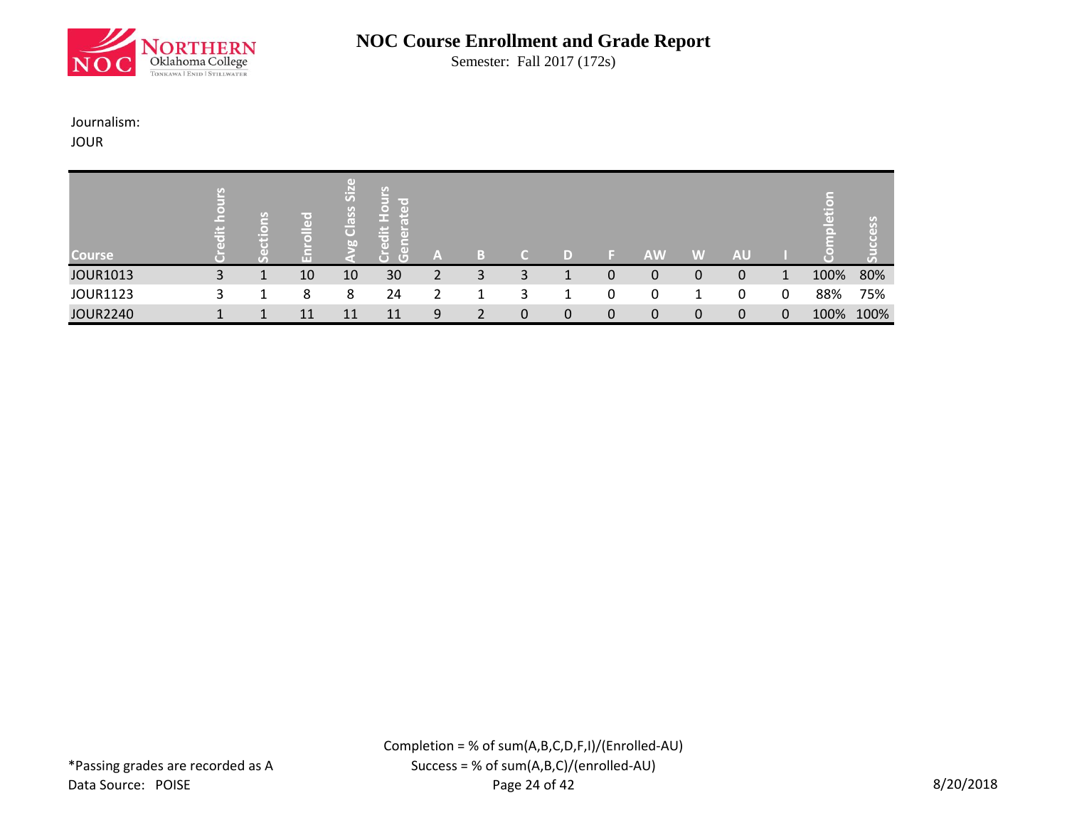

Semester: Fall 2017 (172s)

#### Journalism:

JOUR

| <b>Course</b>   | <b>Part of</b><br>œ | ir o i<br>$\Box$ | $\left( \mathrm{d} \right)$<br>Si <sub>2</sub><br>Class<br>b <sub>0</sub> | φ<br>lir oʻ<br>$\Box$<br>ſ«<br>出<br>Œ<br>T O'<br>$\overline{a}$<br>O)<br>$\overline{G}$<br>Ō | A |   |          |   |   | <b>AW</b> | VAV. | AU |   | пD   | $\alpha$ |
|-----------------|---------------------|------------------|---------------------------------------------------------------------------|----------------------------------------------------------------------------------------------|---|---|----------|---|---|-----------|------|----|---|------|----------|
| <b>JOUR1013</b> | 3                   | 10               | 10                                                                        | 30                                                                                           |   | 3 | 3        |   | 0 | 0         | 0    | 0  |   | 100% | 80%      |
| <b>JOUR1123</b> | 3                   | 8                | 8                                                                         | 24                                                                                           |   |   |          |   | 0 | 0         |      |    | 0 | 88%  | 75%      |
| <b>JOUR2240</b> |                     |                  | 11                                                                        | 11                                                                                           | 9 |   | $\Omega$ | 0 | 0 | 0         | 0    | 0  | 0 | 100% | 100%     |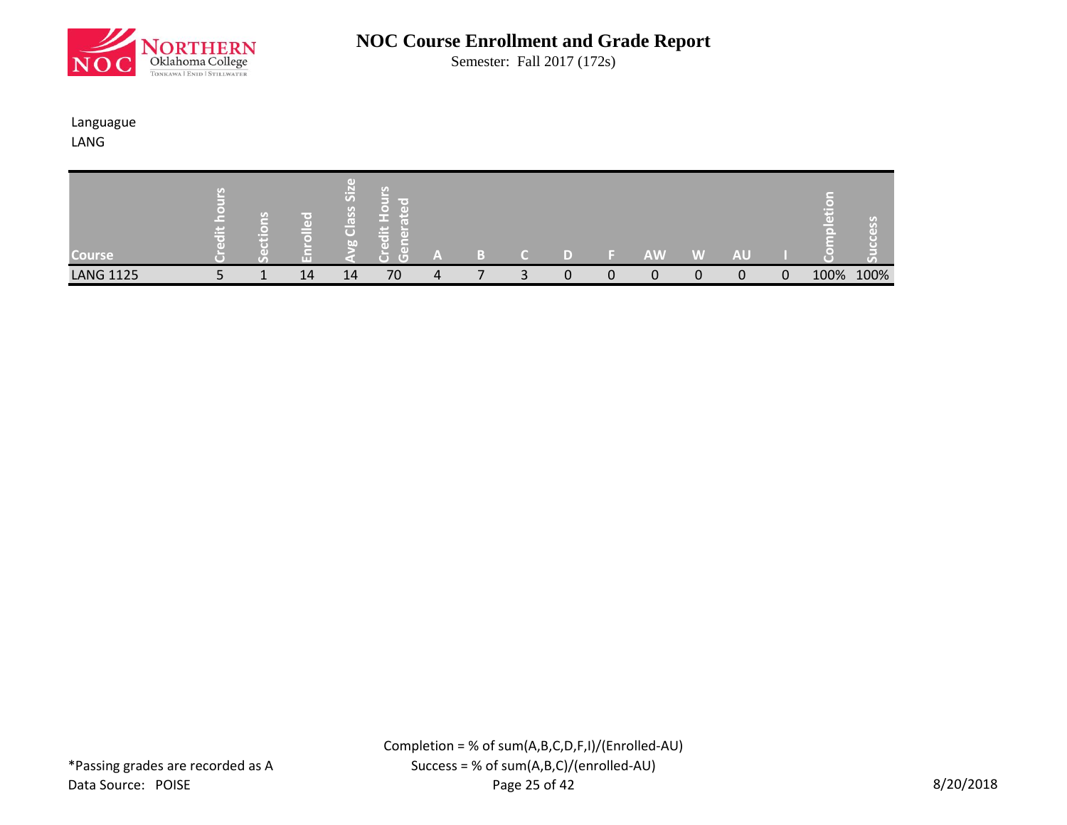

Semester: Fall 2017 (172s)

#### Languague LANG

| <b>Course</b>    | <b>COLLECT</b> | Œ<br>mп | m<br>$ \vec{5} $<br>$\bullet$<br>$\mathcal{G}$<br><u> පී</u><br>60 | line of<br>ГŧГ<br><b>Contract</b><br>n –<br>o<br><b>IG</b><br><b>TO</b> | A | $\mathbb{R}$ |  |   | <b>AW</b> | W | <b>AU</b> |        |      | $\lceil \cdot \rfloor$<br>T. |
|------------------|----------------|---------|--------------------------------------------------------------------|-------------------------------------------------------------------------|---|--------------|--|---|-----------|---|-----------|--------|------|------------------------------|
| <b>LANG 1125</b> |                | 14      | 14                                                                 | 70                                                                      | 4 |              |  | 0 | 0         | 0 |           | n<br>U | 100% | 100%                         |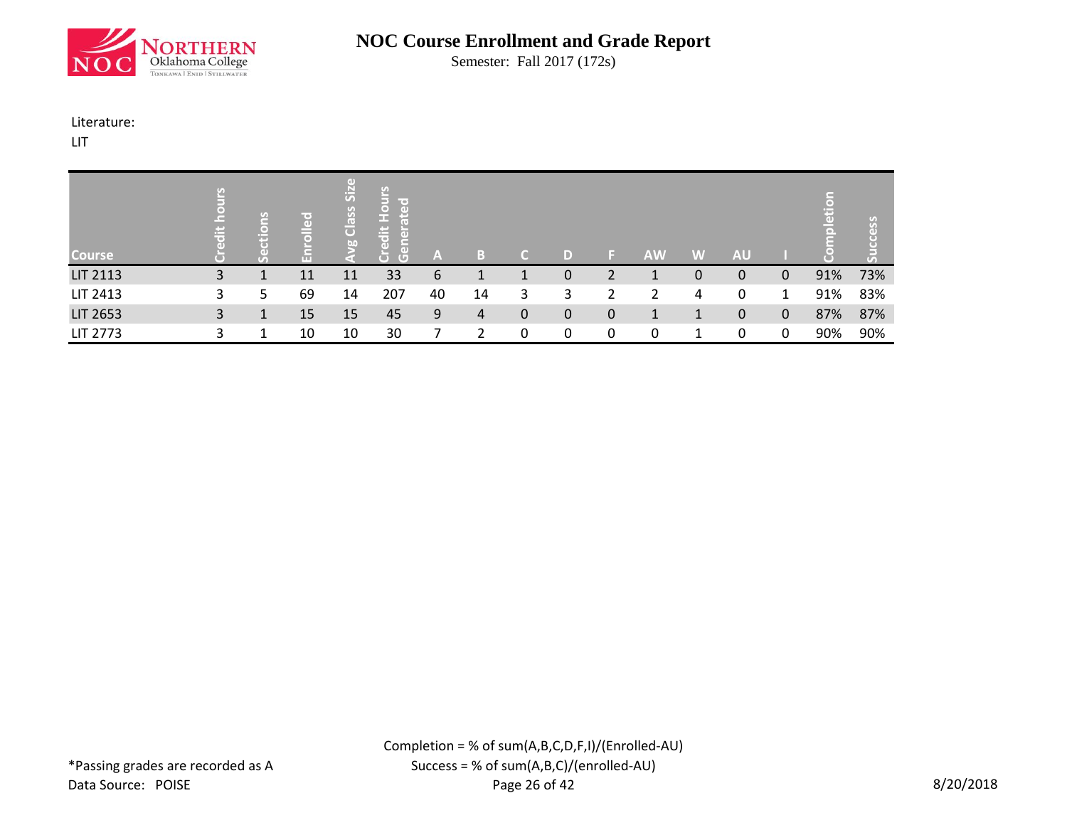

Semester: Fall 2017 (172s)

#### Literature:

LIT

| <b>Course</b>   | 出 | $\Box$<br>ю | ဥ္ပ<br>$\bullet$<br>m | пn<br>$\overline{\text{Si}}$<br>Class<br>bn | ို<br>E<br>ਾਕ<br>$\overline{a}$<br>$\overline{\bullet}$<br>l Fa<br>edit<br>$\overline{a}$<br>len<br>Gen<br>$\overline{C}$ | $\mathbb{A}$ |    |              | D) |   | <b>AW</b> | W | <b>AU</b> |              | n a | <u>S</u><br>GТ |
|-----------------|---|-------------|-----------------------|---------------------------------------------|---------------------------------------------------------------------------------------------------------------------------|--------------|----|--------------|----|---|-----------|---|-----------|--------------|-----|----------------|
| <b>LIT 2113</b> | 3 |             | 11                    | 11                                          | 33                                                                                                                        | 6            |    |              | 0  |   |           | 0 | 0         | 0            | 91% | 73%            |
| LIT 2413        | 3 | 5           | 69                    | 14                                          | 207                                                                                                                       | 40           | 14 | 3            | 3  | ำ |           | 4 | 0         | 1            | 91% | 83%            |
| LIT 2653        | 3 |             | 15                    | 15                                          | 45                                                                                                                        | 9            | 4  | $\mathbf{0}$ | 0  | 0 |           |   | 0         | $\mathbf{0}$ | 87% | 87%            |
| <b>LIT 2773</b> | 3 |             | 10                    | 10                                          | 30                                                                                                                        |              |    | 0            | 0  | 0 | 0         |   | ∩         | $\mathbf{0}$ | 90% | 90%            |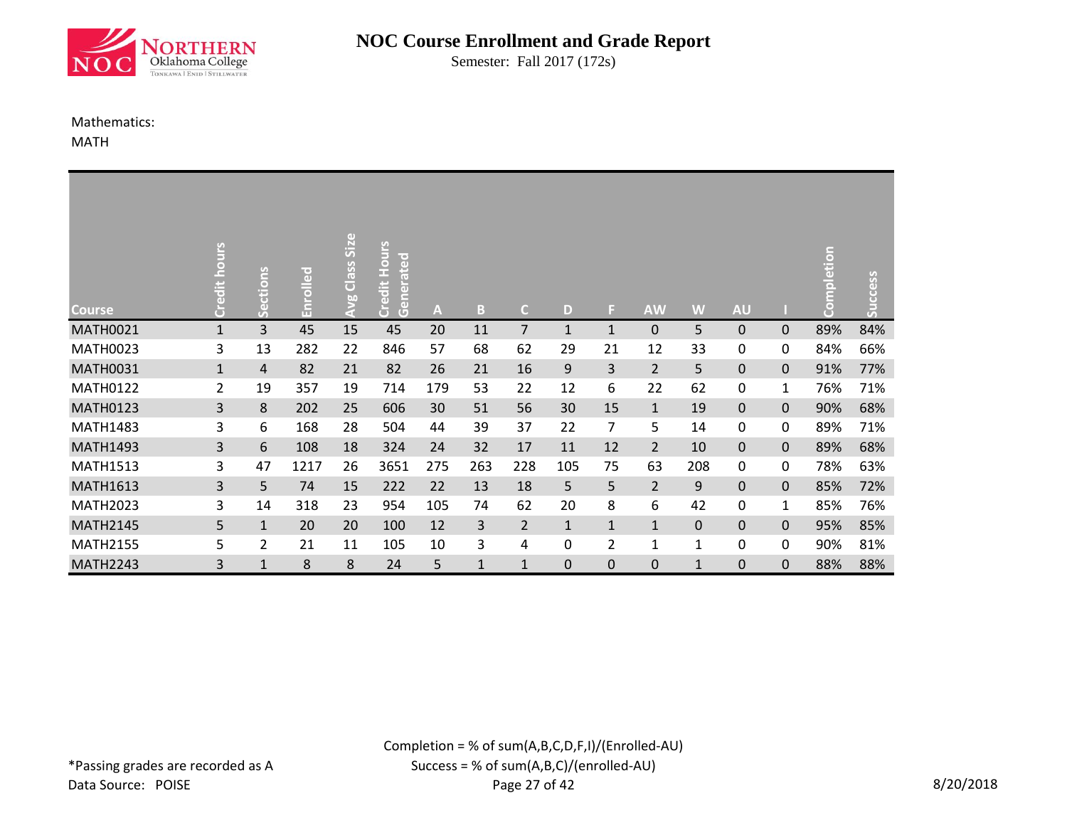

Semester: Fall 2017 (172s)

#### Mathematics:

MATH

| <b>Course</b>   | <b>SJNO</b><br>Credit h | ons<br>Ë<br>မိ | ဥ<br><u>آق</u><br>룹 | Class Size<br><b>So</b><br>91 | Hours<br>rated<br>Credit I<br>$\overline{a}$<br>Gen | A   | B.  | $\mathsf{C}$   | D            | F. | <b>AW</b>      | W            | <b>AU</b>    |              | mpletion<br>8 | Success |
|-----------------|-------------------------|----------------|---------------------|-------------------------------|-----------------------------------------------------|-----|-----|----------------|--------------|----|----------------|--------------|--------------|--------------|---------------|---------|
| <b>MATH0021</b> | $\mathbf{1}$            | 3              | 45                  | 15                            | 45                                                  | 20  | 11  | $\overline{7}$ | $\mathbf{1}$ | 1  | 0              | 5            | $\Omega$     | $\mathbf{0}$ | 89%           | 84%     |
| <b>MATH0023</b> | 3                       | 13             | 282                 | 22                            | 846                                                 | 57  | 68  | 62             | 29           | 21 | 12             | 33           | 0            | 0            | 84%           | 66%     |
| <b>MATH0031</b> | $\mathbf{1}$            | 4              | 82                  | 21                            | 82                                                  | 26  | 21  | 16             | 9            | 3  | $\overline{2}$ | 5            | $\mathbf{0}$ | $\mathbf{0}$ | 91%           | 77%     |
| <b>MATH0122</b> | $\overline{2}$          | 19             | 357                 | 19                            | 714                                                 | 179 | 53  | 22             | 12           | 6  | 22             | 62           | 0            | 1            | 76%           | 71%     |
| <b>MATH0123</b> | 3                       | 8              | 202                 | 25                            | 606                                                 | 30  | 51  | 56             | 30           | 15 | $\mathbf{1}$   | 19           | $\Omega$     | $\mathbf 0$  | 90%           | 68%     |
| <b>MATH1483</b> | 3                       | 6              | 168                 | 28                            | 504                                                 | 44  | 39  | 37             | 22           | 7  | 5              | 14           | 0            | 0            | 89%           | 71%     |
| <b>MATH1493</b> | 3                       | 6              | 108                 | 18                            | 324                                                 | 24  | 32  | 17             | 11           | 12 | $\overline{2}$ | 10           | $\Omega$     | $\mathbf{0}$ | 89%           | 68%     |
| <b>MATH1513</b> | 3                       | 47             | 1217                | 26                            | 3651                                                | 275 | 263 | 228            | 105          | 75 | 63             | 208          | 0            | 0            | 78%           | 63%     |
| <b>MATH1613</b> | 3                       | 5              | 74                  | 15                            | 222                                                 | 22  | 13  | 18             | 5            | 5  | $\overline{2}$ | 9            | $\Omega$     | $\mathbf{0}$ | 85%           | 72%     |
| <b>MATH2023</b> | 3                       | 14             | 318                 | 23                            | 954                                                 | 105 | 74  | 62             | 20           | 8  | 6              | 42           | 0            | 1            | 85%           | 76%     |
| <b>MATH2145</b> | 5                       | $\mathbf{1}$   | 20                  | 20                            | 100                                                 | 12  | 3   | $\overline{2}$ | 1            | 1  | 1              | $\Omega$     | $\Omega$     | $\mathbf{0}$ | 95%           | 85%     |
| <b>MATH2155</b> | 5                       | $\overline{2}$ | 21                  | 11                            | 105                                                 | 10  | 3   | 4              | 0            | 2  |                | 1            | 0            | 0            | 90%           | 81%     |
| <b>MATH2243</b> | 3                       | $\mathbf{1}$   | 8                   | 8                             | 24                                                  | 5   | 1   | $\mathbf{1}$   | 0            | 0  | 0              | $\mathbf{1}$ | $\Omega$     | $\mathbf{0}$ | 88%           | 88%     |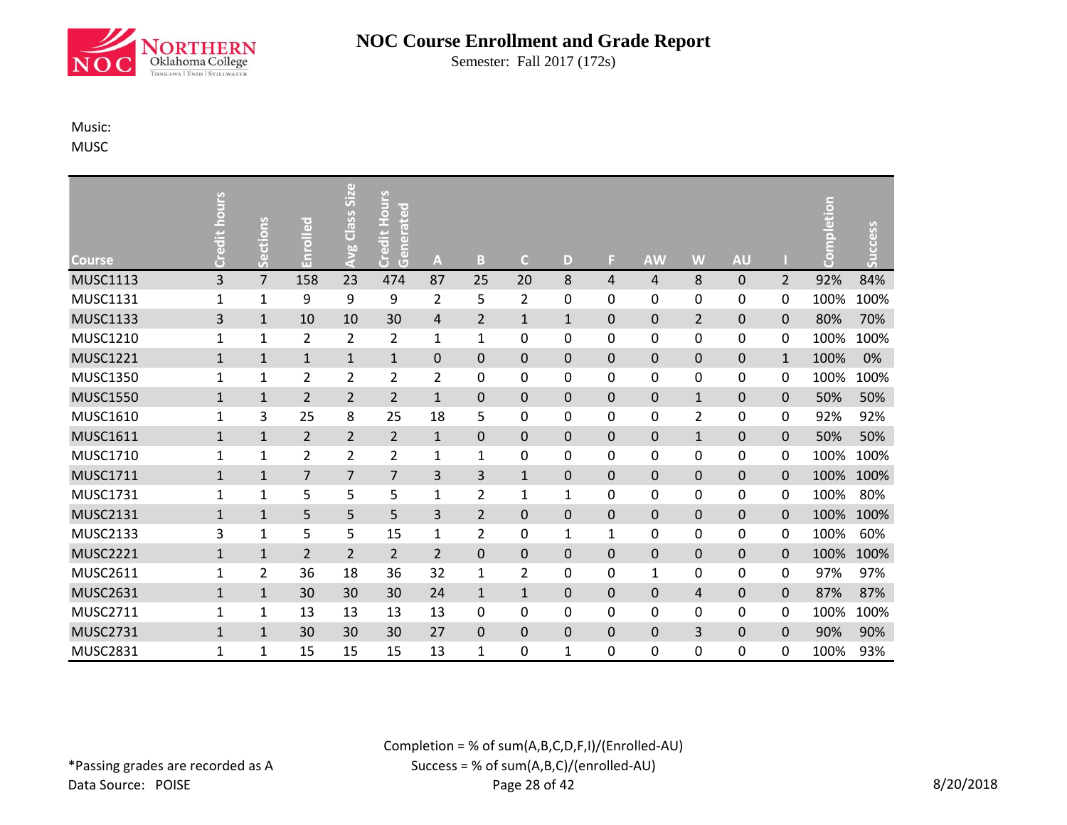

Semester: Fall 2017 (172s)

#### Music:

MUSC

| <b>Course</b>   | Credit hours | Sections       | Enrolled       | <b>Avg Class Size</b> | Hours<br>rated<br>Credit I<br>len<br>Gen | A              | B              | $\mathsf{C}$   | D            | ы | <b>AW</b>    | W              | <b>AU</b>    |                | mpletion<br>ဒိ | Success |
|-----------------|--------------|----------------|----------------|-----------------------|------------------------------------------|----------------|----------------|----------------|--------------|---|--------------|----------------|--------------|----------------|----------------|---------|
| <b>MUSC1113</b> | 3            | $\overline{7}$ | 158            | 23                    | 474                                      | 87             | 25             | 20             | 8            | 4 | 4            | 8              | 0            | $\overline{2}$ | 92%            | 84%     |
| <b>MUSC1131</b> | $\mathbf{1}$ | $\mathbf{1}$   | 9              | 9                     | 9                                        | $\overline{2}$ | 5              | $\overline{2}$ | 0            | 0 | 0            | 0              | 0            | 0              | 100%           | 100%    |
| <b>MUSC1133</b> | 3            | $\mathbf{1}$   | 10             | 10                    | 30                                       | 4              | $\overline{2}$ | $\mathbf{1}$   | $\mathbf{1}$ | 0 | $\mathbf 0$  | $\overline{2}$ | 0            | $\mathbf 0$    | 80%            | 70%     |
| <b>MUSC1210</b> | $\mathbf{1}$ | $\mathbf{1}$   | 2              | $\overline{2}$        | $\overline{2}$                           | 1              | 1              | 0              | 0            | 0 | 0            | 0              | 0            | 0              | 100%           | 100%    |
| <b>MUSC1221</b> | $\mathbf{1}$ | $1\,$          | $\mathbf{1}$   | $\mathbf{1}$          | $\mathbf{1}$                             | $\mathbf 0$    | $\mathbf 0$    | $\mathbf 0$    | 0            | 0 | $\mathbf 0$  | $\mathbf 0$    | 0            | $\mathbf{1}$   | 100%           | 0%      |
| <b>MUSC1350</b> | $\mathbf{1}$ | $\mathbf{1}$   | $\overline{2}$ | $\overline{2}$        | $\overline{2}$                           | $\overline{2}$ | $\mathbf{0}$   | 0              | 0            | 0 | 0            | 0              | 0            | 0              | 100%           | 100%    |
| <b>MUSC1550</b> | $\mathbf{1}$ | $\mathbf{1}$   | $\overline{2}$ | $\overline{2}$        | $\overline{2}$                           | $\mathbf{1}$   | $\mathbf 0$    | $\mathbf 0$    | $\mathbf 0$  | 0 | $\pmb{0}$    | $\mathbf{1}$   | 0            | $\mathbf 0$    | 50%            | 50%     |
| <b>MUSC1610</b> | $\mathbf{1}$ | 3              | 25             | 8                     | 25                                       | 18             | 5              | 0              | 0            | 0 | 0            | 2              | 0            | 0              | 92%            | 92%     |
| <b>MUSC1611</b> | $\mathbf{1}$ | $\mathbf{1}$   | $\overline{2}$ | $\overline{2}$        | $\overline{2}$                           | $\mathbf{1}$   | $\mathbf 0$    | $\mathbf 0$    | 0            | 0 | $\mathbf 0$  | $\mathbf{1}$   | 0            | $\mathbf 0$    | 50%            | 50%     |
| <b>MUSC1710</b> | $\mathbf{1}$ | $\mathbf{1}$   | 2              | 2                     | $\overline{2}$                           | 1              | 1              | 0              | 0            | 0 | 0            | 0              | 0            | 0              | 100%           | 100%    |
| <b>MUSC1711</b> | $\mathbf{1}$ | $\mathbf{1}$   | $\overline{7}$ | $\overline{7}$        | $\overline{7}$                           | 3              | 3              | $\mathbf{1}$   | 0            | 0 | $\mathbf 0$  | $\mathbf 0$    | $\mathbf 0$  | $\mathbf 0$    | 100%           | 100%    |
| <b>MUSC1731</b> | 1            | $\mathbf{1}$   | 5              | 5                     | 5                                        | 1              | 2              | 1              | 1            | 0 | 0            | 0              | 0            | 0              | 100%           | 80%     |
| <b>MUSC2131</b> | $\mathbf{1}$ | $\mathbf{1}$   | 5              | 5                     | 5                                        | 3              | $\overline{2}$ | $\mathbf 0$    | 0            | 0 | $\mathbf 0$  | $\mathbf 0$    | 0            | $\mathbf 0$    | 100%           | 100%    |
| <b>MUSC2133</b> | 3            | 1              | 5              | 5                     | 15                                       | 1              | $\overline{2}$ | 0              | 1            | 1 | 0            | 0              | 0            | 0              | 100%           | 60%     |
| <b>MUSC2221</b> | $\mathbf{1}$ | $\mathbf{1}$   | $\overline{2}$ | $\overline{2}$        | $\overline{2}$                           | $\overline{2}$ | $\mathbf 0$    | $\mathbf 0$    | 0            | 0 | 0            | $\mathbf 0$    | 0            | $\mathbf 0$    | 100%           | 100%    |
| MUSC2611        | 1            | $\overline{2}$ | 36             | 18                    | 36                                       | 32             | 1              | $\overline{2}$ | 0            | 0 | $\mathbf{1}$ | 0              | 0            | 0              | 97%            | 97%     |
| <b>MUSC2631</b> | $\mathbf{1}$ | $\mathbf{1}$   | 30             | 30                    | 30                                       | 24             | $\mathbf{1}$   | $\mathbf{1}$   | 0            | 0 | $\mathbf 0$  | 4              | $\mathbf 0$  | $\mathbf 0$    | 87%            | 87%     |
| <b>MUSC2711</b> | 1            | 1              | 13             | 13                    | 13                                       | 13             | $\mathbf{0}$   | $\Omega$       | 0            | 0 | 0            | 0              | 0            | 0              | 100%           | 100%    |
| <b>MUSC2731</b> | $\mathbf{1}$ | $\mathbf{1}$   | 30             | 30                    | 30                                       | 27             | $\mathbf{0}$   | $\mathbf{0}$   | 0            | 0 | $\mathbf{0}$ | 3              | $\mathbf{0}$ | $\mathbf{0}$   | 90%            | 90%     |
| <b>MUSC2831</b> | 1            | 1              | 15             | 15                    | 15                                       | 13             | $\mathbf{1}$   | $\mathbf 0$    | $\mathbf{1}$ | 0 | 0            | 0              | 0            | 0              | 100%           | 93%     |

Completion = % of sum(A,B,C,D,F,I)/(Enrolled-AU)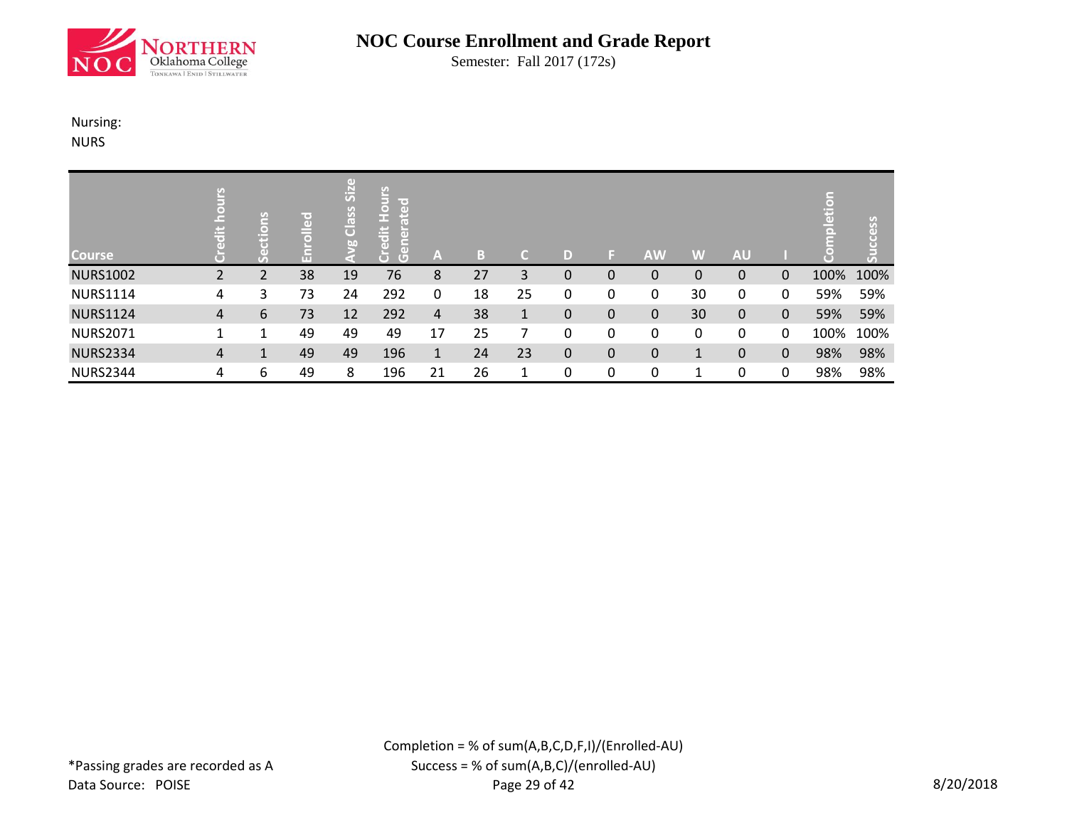

Semester: Fall 2017 (172s)

# Nursing:

NURS

| <b>Course</b>   | 넘 |   | ဥ္ပ | $\left( \mathrm{d} \right)$<br><b>Izi</b><br>Class<br>bn | <b>Hours</b><br>ted<br>ledit<br>$\overline{a}$<br>ã<br>G | A  | B  | r.           | D |   | <b>AW</b> | W  | <b>AU</b> |              | Ë    | ess  |
|-----------------|---|---|-----|----------------------------------------------------------|----------------------------------------------------------|----|----|--------------|---|---|-----------|----|-----------|--------------|------|------|
| <b>NURS1002</b> | 2 |   | 38  | 19                                                       | 76                                                       | 8  | 27 | 3            | 0 | 0 | 0         | 0  | 0         | 0            | 100% | 100% |
| <b>NURS1114</b> | 4 | 3 | 73  | 24                                                       | 292                                                      | 0  | 18 | 25           | 0 | 0 | 0         | 30 | 0         | 0            | 59%  | 59%  |
| <b>NURS1124</b> | 4 | 6 | 73  | 12                                                       | 292                                                      | 4  | 38 | $\mathbf{1}$ | 0 | 0 | 0         | 30 | $\Omega$  | $\mathbf{0}$ | 59%  | 59%  |
| <b>NURS2071</b> |   |   | 49  | 49                                                       | 49                                                       | 17 | 25 |              | 0 | 0 | 0         | 0  | 0         | 0            | 100% | 100% |
| <b>NURS2334</b> | 4 | 1 | 49  | 49                                                       | 196                                                      | 1  | 24 | 23           | 0 | 0 | 0         | 1  | 0         | $\Omega$     | 98%  | 98%  |
| <b>NURS2344</b> | 4 | 6 | 49  | 8                                                        | 196                                                      | 21 | 26 | 1            | 0 | 0 | 0         |    | 0         | 0            | 98%  | 98%  |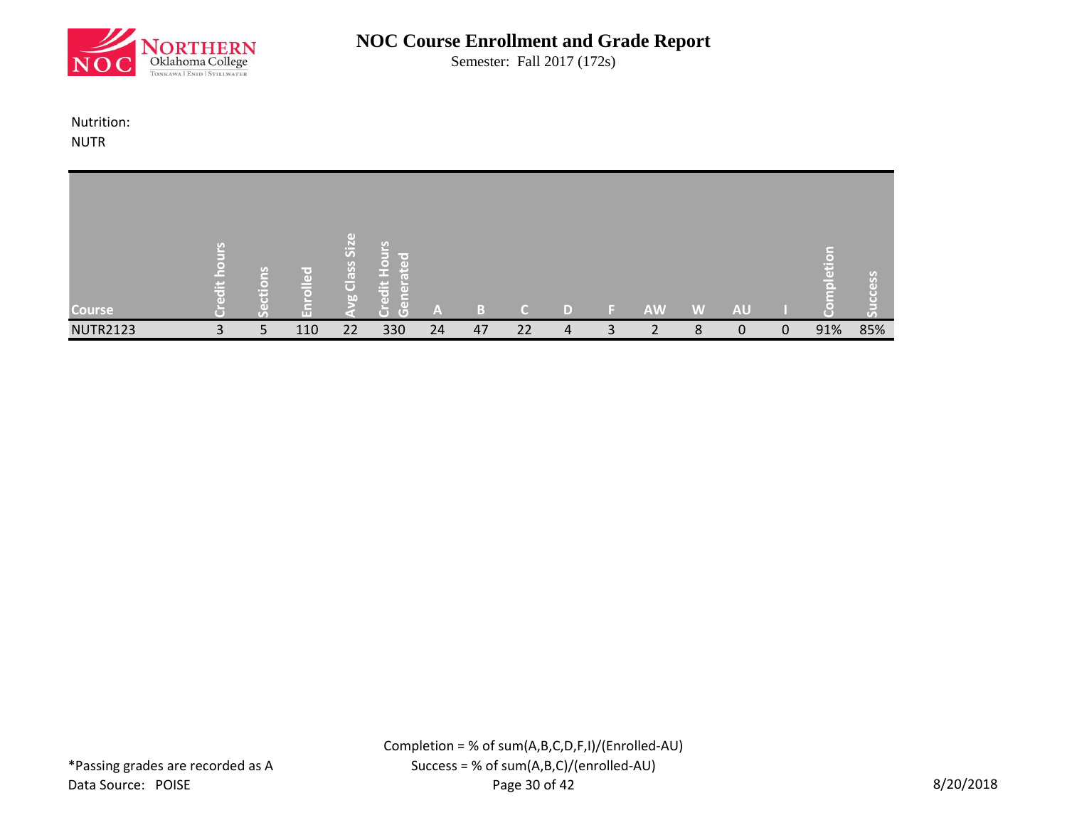

Semester: Fall 2017 (172s)

Nutrition: NUTR

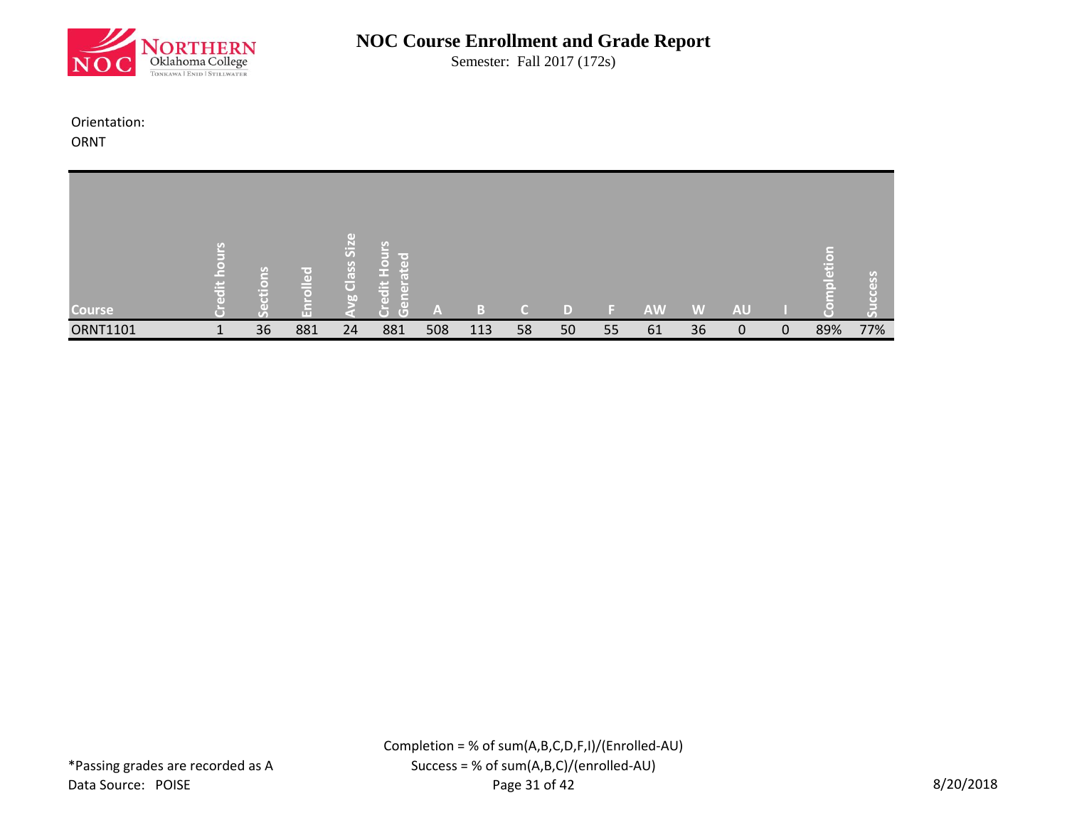

Semester: Fall 2017 (172s)

#### Orientation:

ORNT

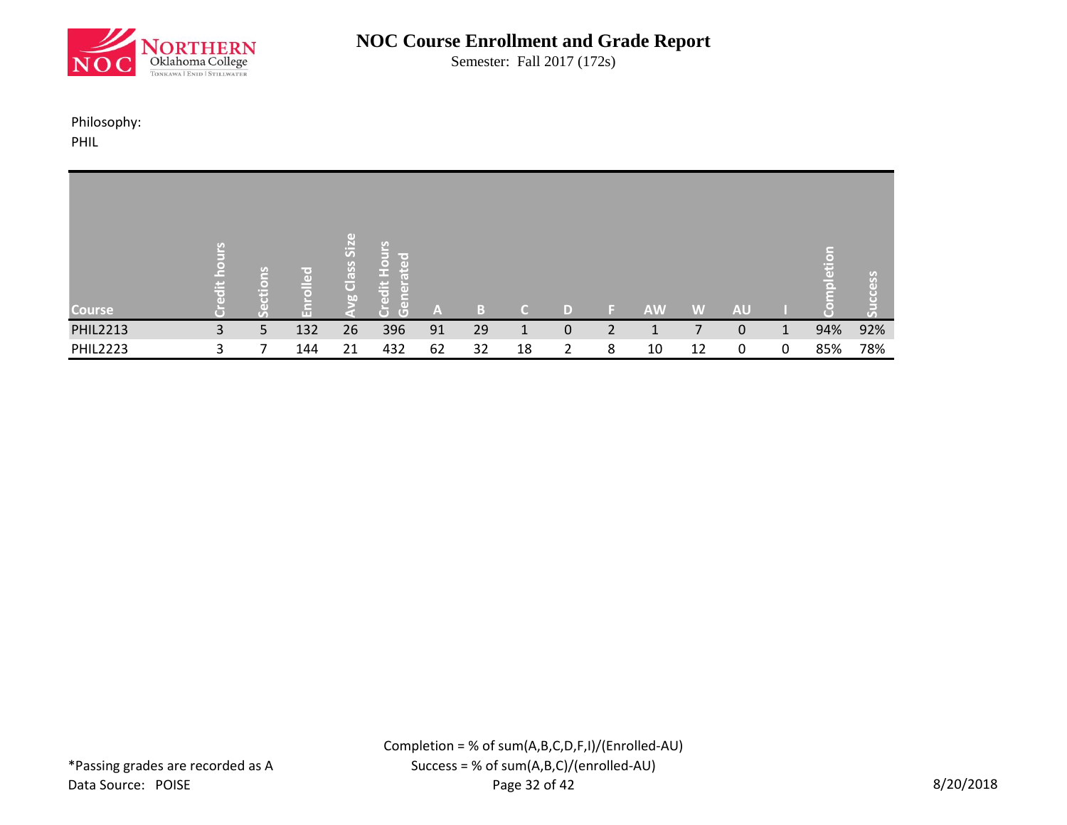

Semester: Fall 2017 (172s)

#### Philosophy:

PHIL

| <b>Course</b>   | ä | lons<br>흉 | r⇔]<br>$\overline{a}$<br>高<br>品 | $\left( \mathrm{d} \right)$<br>SiZ<br>Class<br>bo | يا<br>la<br>El<br>$\overline{3}$<br>e<br>enera<br>edit<br>$\overline{G}$<br>Ō | A  | 43 | $\epsilon$ | D | E. | <b>AW</b> | W  | <b>AU</b> |          | pletio | S <sub>o</sub><br>$\left($<br>こ |
|-----------------|---|-----------|---------------------------------|---------------------------------------------------|-------------------------------------------------------------------------------|----|----|------------|---|----|-----------|----|-----------|----------|--------|---------------------------------|
| <b>PHIL2213</b> | 3 | 5         | 132                             | 26                                                | 396                                                                           | 91 | 29 |            | 0 |    |           |    | 0         | 1        | 94%    | 92%                             |
| <b>PHIL2223</b> | 3 |           | 144                             | 21                                                | 432                                                                           | 62 | 32 | 18         | 2 | 8  | 10        | 12 | 0         | $\Omega$ | 85%    | 78%                             |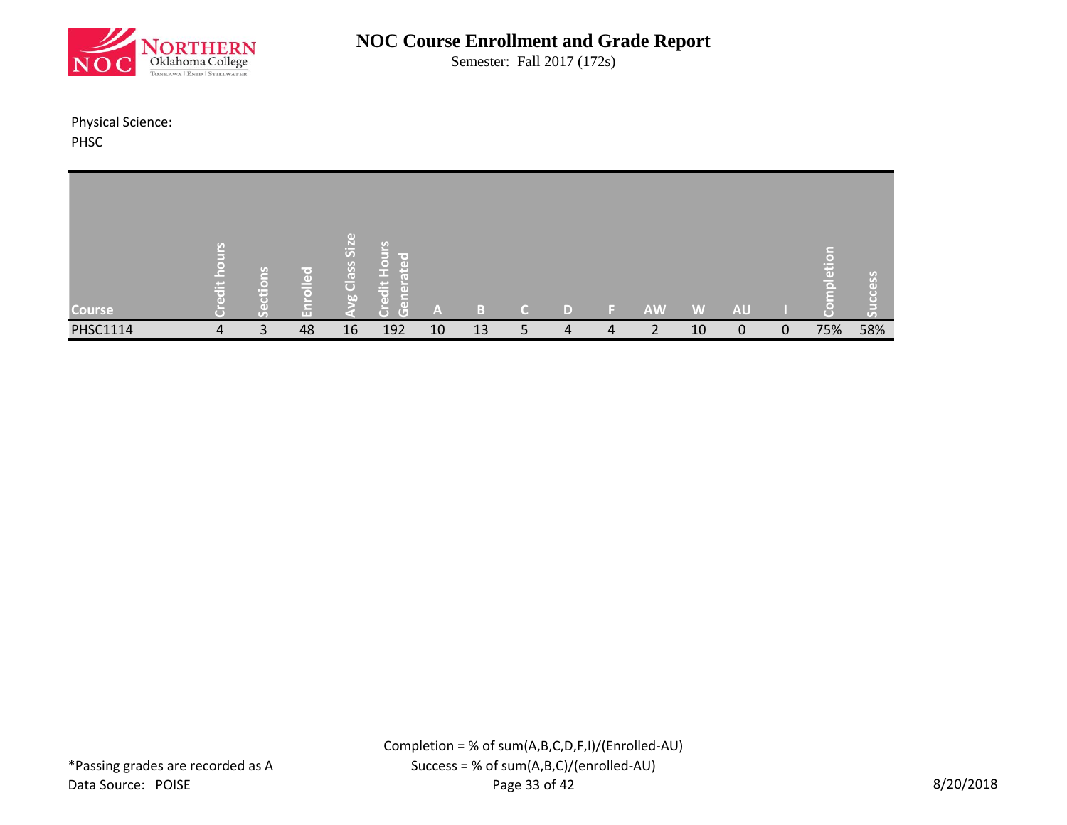

Semester: Fall 2017 (172s)

Physical Science: PHSC

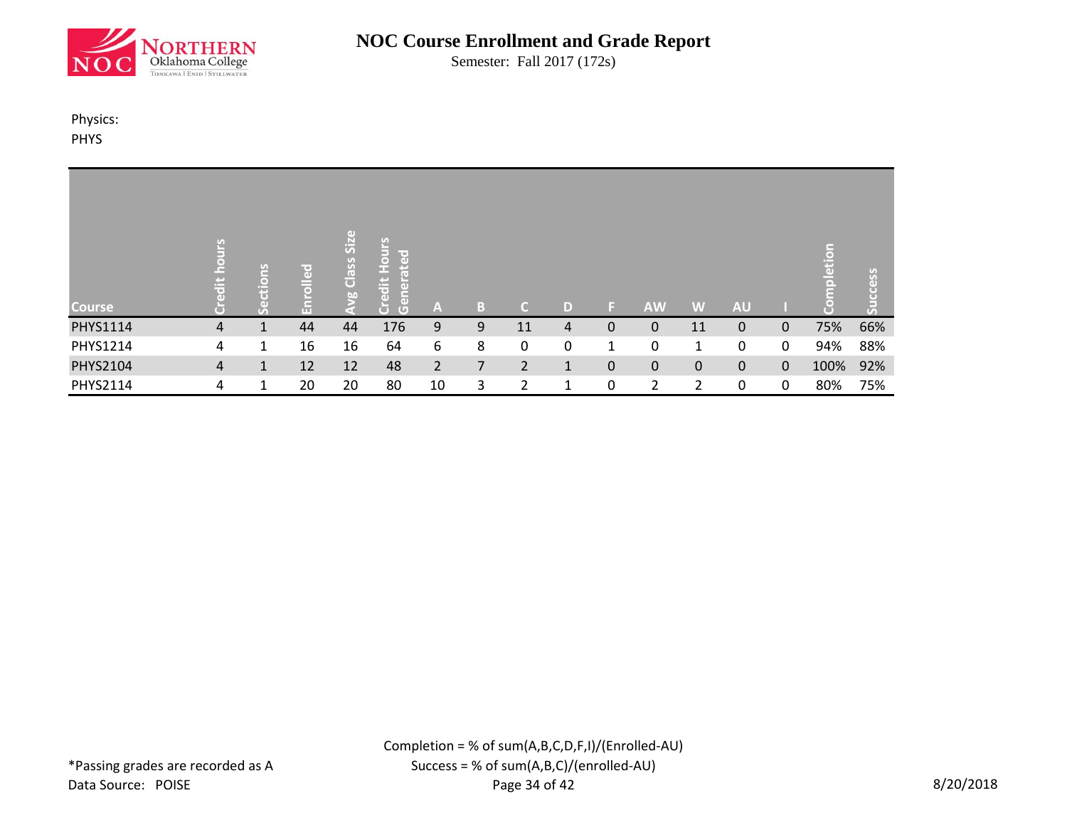

Semester: Fall 2017 (172s)

#### Physics:

PHYS

| <b>Course</b> | c.<br>ä | C)<br>l –<br>흉 | ᄝ<br>$\bar{1}$<br>πг | Size<br>Class :<br>$\omega$ | <b>Hours</b><br>lted<br>era<br>e<br>edit<br>len<br>Gen<br><b>O</b> | A              | B. | C              | D            | ь. | <b>AW</b>      | W            | <b>AU</b>    |              | pletion | Success |
|---------------|---------|----------------|----------------------|-----------------------------|--------------------------------------------------------------------|----------------|----|----------------|--------------|----|----------------|--------------|--------------|--------------|---------|---------|
| PHYS1114      | 4       |                | 44                   | 44                          | 176                                                                | 9              | 9  | 11             | 4            | 0  | 0              | 11           | 0            | $\mathbf{0}$ | 75%     | 66%     |
| PHYS1214      | 4       | 1              | 16                   | 16                          | 64                                                                 | 6              | 8  | 0              | 0            | 1  | 0              | $\mathbf 1$  | 0            | 0            | 94%     | 88%     |
| PHYS2104      | 4       | $\mathbf 1$    | 12                   | 12                          | 48                                                                 | $\overline{2}$ | 7  | $\overline{2}$ | $\mathbf{1}$ | 0  | 0              | $\mathbf{0}$ | $\mathbf{0}$ | $\Omega$     | 100%    | 92%     |
| PHYS2114      | 4       | 1              | 20                   | 20                          | 80                                                                 | 10             | 3  | 2              | 1            | 0  | $\overline{2}$ | 2            | 0            | $\mathbf{0}$ | 80%     | 75%     |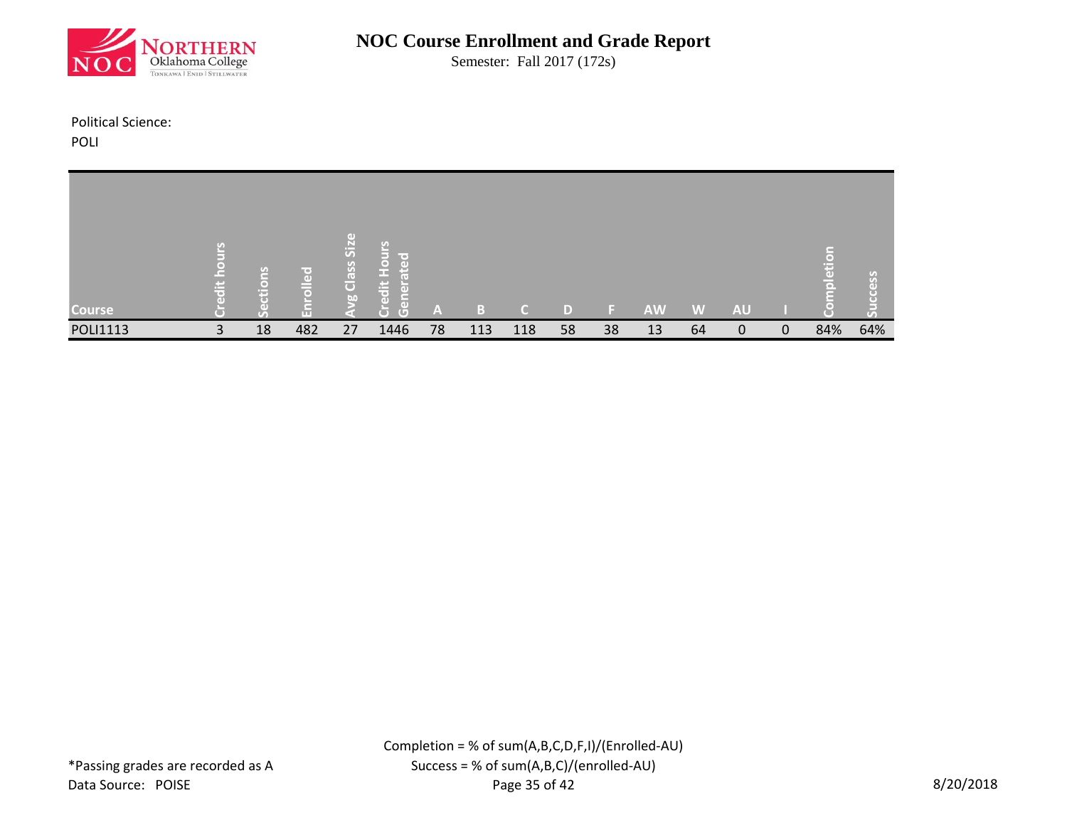

Semester: Fall 2017 (172s)

Political Science:

POLI

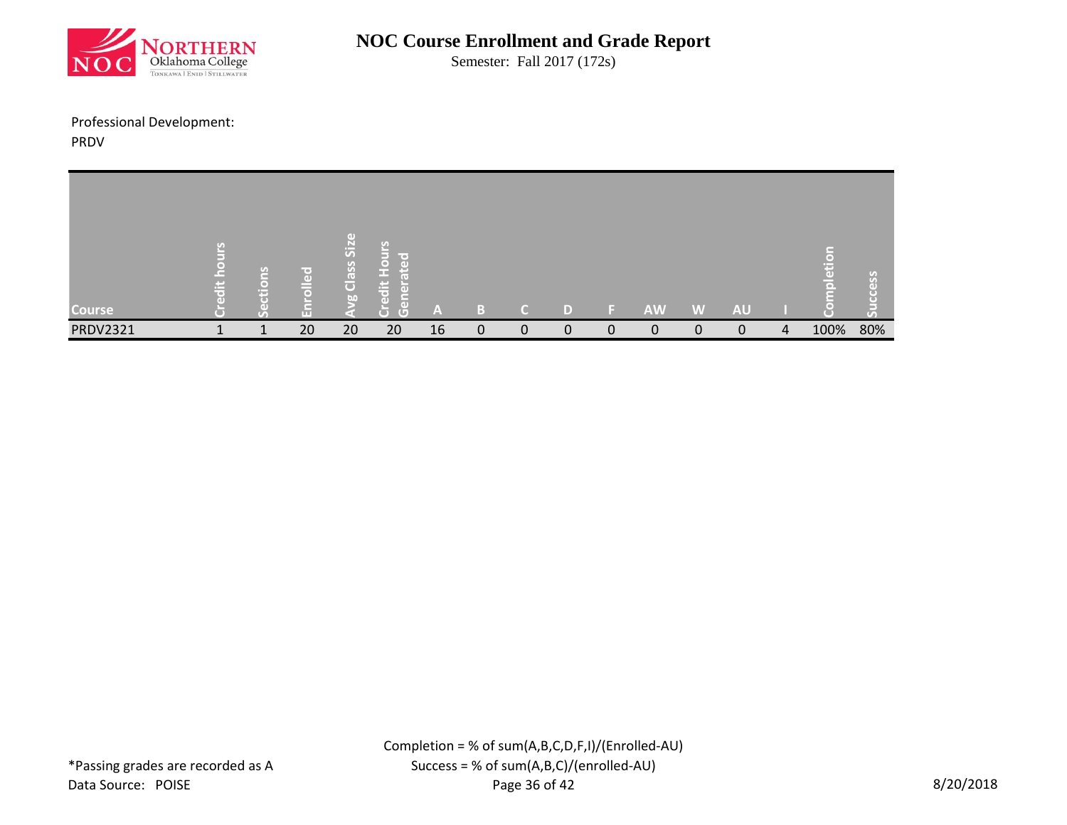

Semester: Fall 2017 (172s)

# Professional Development:

PRDV

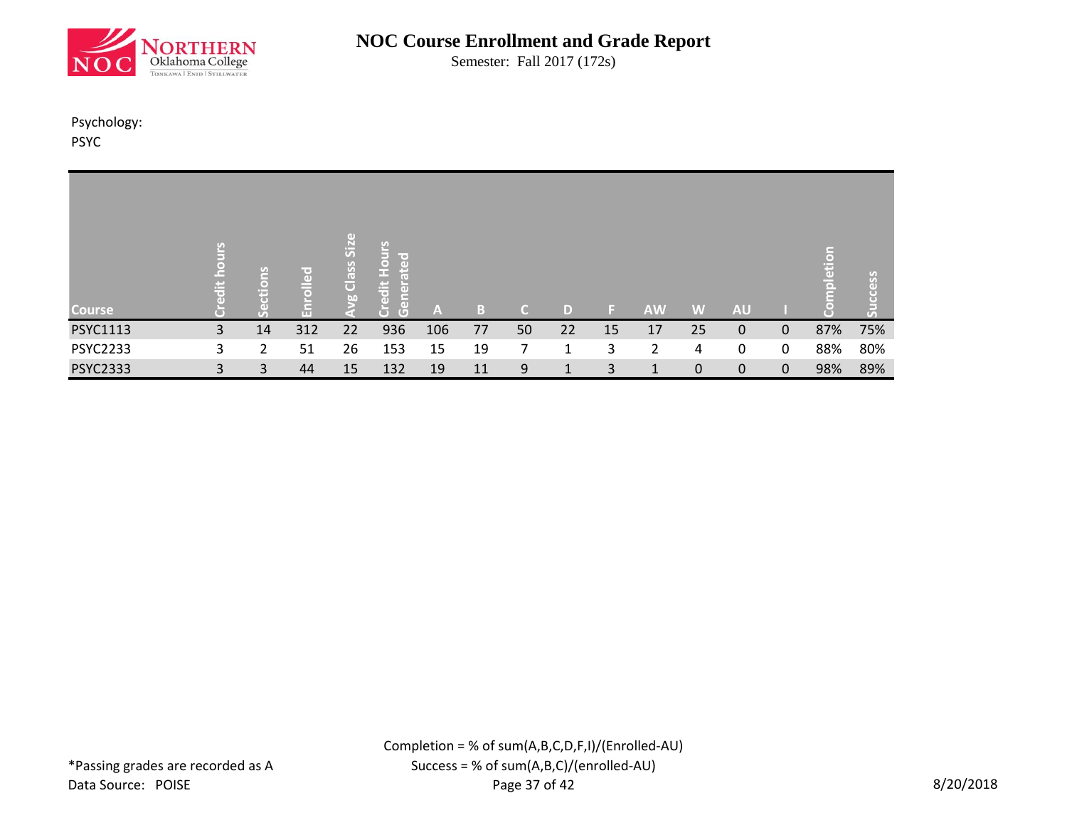

Semester: Fall 2017 (172s)

#### Psychology: PSYC

| <b>Course</b>   | (e)<br><b>Jä</b> | $\ddot{\mathsf{s}}$<br>흉<br>$\overline{C}$ | ဥ<br>$\overline{\circ}$<br>品 | $\left( \mathrm{d} \right)$<br>Class Siz<br>b | S<br><b>Deal</b><br>edit Hou<br>Gener<br>l 5 | $\mathbf{A}$ | B  | C. | D  |    | <b>AW</b> | W           | <b>AU</b>   |              | npletion<br>( = ) | less<br>তে<br>$\overline{16}$ |
|-----------------|------------------|--------------------------------------------|------------------------------|-----------------------------------------------|----------------------------------------------|--------------|----|----|----|----|-----------|-------------|-------------|--------------|-------------------|-------------------------------|
| PSYC1113        | 3                | 14                                         | 312                          | 22                                            | 936                                          | 106          | 77 | 50 | 22 | 15 | 17        | 25          | 0           | $\mathbf{0}$ | 87%               | 75%                           |
| <b>PSYC2233</b> | 3                | 2                                          | 51                           | 26                                            | 153                                          | 15           | 19 |    | 1  | 3  | 2         | 4           | 0           | 0            | 88%               | 80%                           |
| <b>PSYC2333</b> | 3                | 3                                          | 44                           | 15                                            | 132                                          | 19           | 11 | 9  |    | 3  |           | $\mathbf 0$ | $\mathbf 0$ | $\mathbf 0$  | 98%               | 89%                           |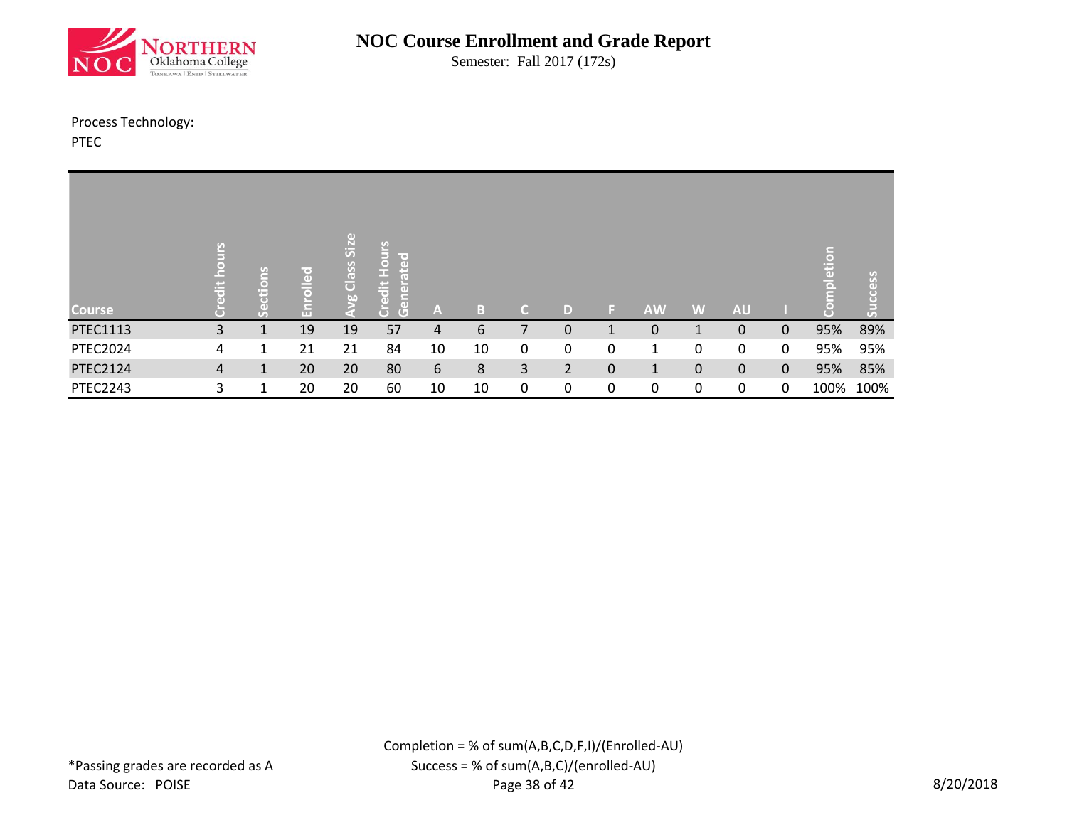

Semester: Fall 2017 (172s)

#### Process Technology:

PTEC

| <b>Course</b>   | $\sigma$<br>$\blacksquare$<br>c<br>ä<br>$\overline{a}$ | ie'<br>ō<br>Ĕ | 공<br>$\bar{1}$<br>m | Size<br>Class<br>$\omega$ | $rac{5}{2}$<br>lir er<br>ate<br>edit<br>$\ddot{\tilde{\sigma}}$<br>$\tilde{\epsilon}$<br>E<br>$\overline{G}$ | A  | B  | C. | D              | 15. | <b>AW</b>    | W            | <b>AU</b>    |              | etior<br>ă | ess  |
|-----------------|--------------------------------------------------------|---------------|---------------------|---------------------------|--------------------------------------------------------------------------------------------------------------|----|----|----|----------------|-----|--------------|--------------|--------------|--------------|------------|------|
| PTEC1113        | 3                                                      |               | 19                  | 19                        | 57                                                                                                           | 4  | 6  |    | $\mathbf 0$    | 1   | 0            |              | 0            | $\Omega$     | 95%        | 89%  |
| <b>PTEC2024</b> | 4                                                      | 1             | 21                  | 21                        | 84                                                                                                           | 10 | 10 | 0  | 0              | 0   | 1            | 0            | 0            | 0            | 95%        | 95%  |
| <b>PTEC2124</b> | 4                                                      | $\mathbf{1}$  | 20                  | 20                        | 80                                                                                                           | 6  | 8  | 3  | $\overline{2}$ | 0   | $\mathbf{1}$ | $\mathbf{0}$ | $\mathbf{0}$ | $\mathbf{0}$ | 95%        | 85%  |
| <b>PTEC2243</b> | 3                                                      | 1             | 20                  | 20                        | 60                                                                                                           | 10 | 10 | 0  | 0              | 0   | 0            | 0            | $\Omega$     | 0            | 100%       | 100% |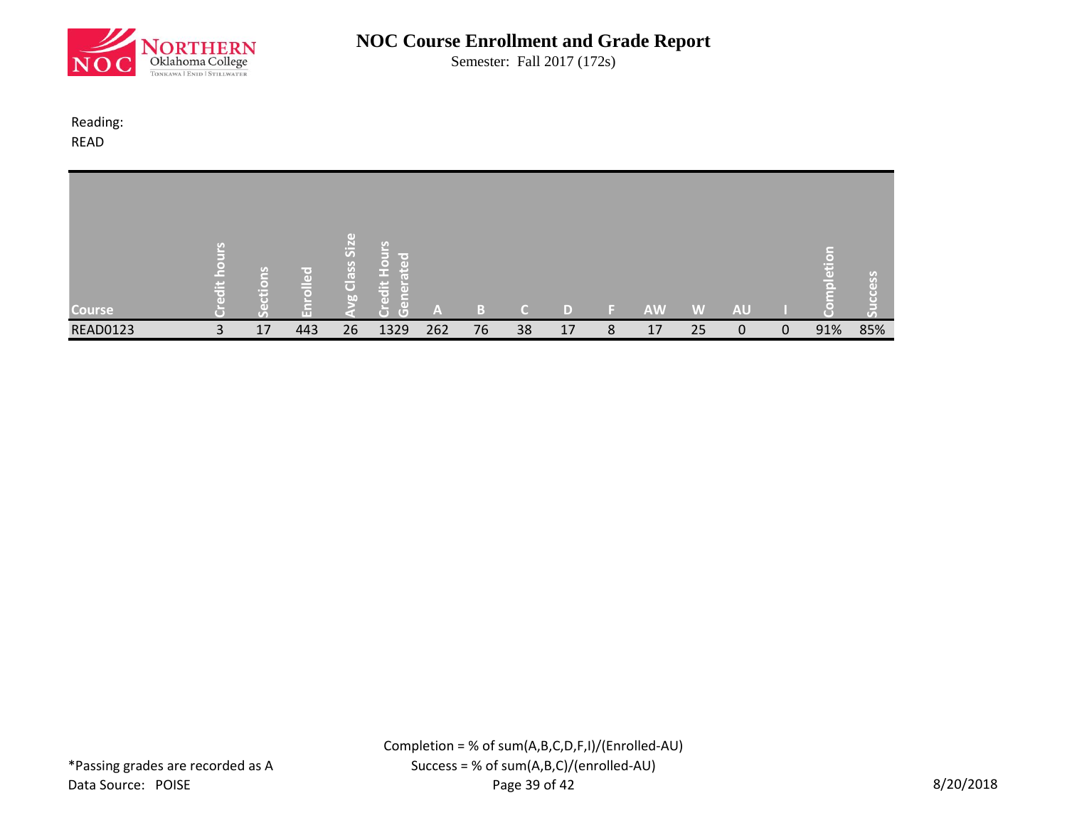

Semester: Fall 2017 (172s)

Reading: READ

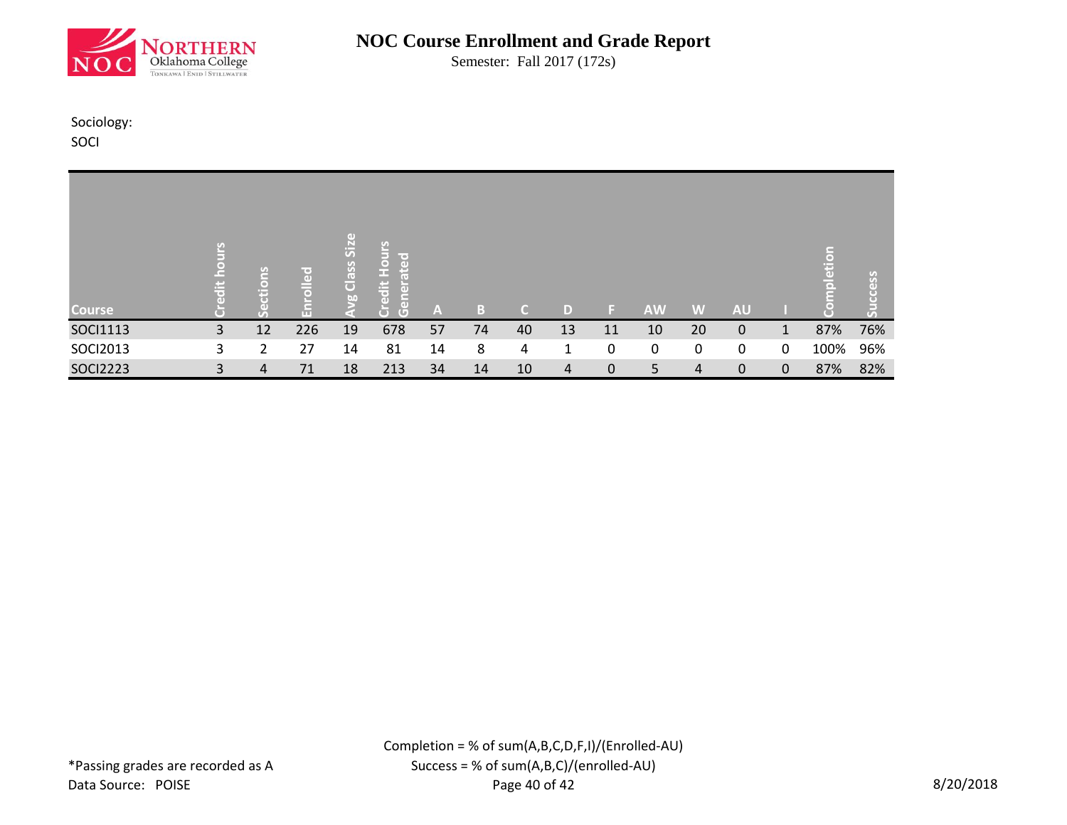

Semester: Fall 2017 (172s)

Sociology:

SOCI

| <b>Course</b>   | 넎 | u<br>io | $\left($<br>$\overline{a}$<br>$\bar{a}$<br>Ε | (1)<br>Class Siz<br>60 | edit Hours<br>ated<br>$\tilde{\sigma}$<br>$\tilde{5}$<br>ĕ<br>Ğ | A  | B. | $\epsilon$ | D  | ы  | <b>AW</b> | W  | <b>AU</b>   |              | pletion | ccess<br>ڌ |
|-----------------|---|---------|----------------------------------------------|------------------------|-----------------------------------------------------------------|----|----|------------|----|----|-----------|----|-------------|--------------|---------|------------|
| SOCI1113        | 3 | 12      | 226                                          | 19                     | 678                                                             | 57 | 74 | 40         | 13 | 11 | 10        | 20 | $\mathbf 0$ | $\mathbf{1}$ | 87%     | 76%        |
| SOCI2013        | 3 | 2       | 27                                           | 14                     | 81                                                              | 14 | 8  | 4          | 1  | 0  | 0         | 0  | 0           | 0            | 100%    | 96%        |
| <b>SOCI2223</b> | 3 | 4       | 71                                           | 18                     | 213                                                             | 34 | 14 | 10         | 4  | 0  | 5         | 4  | $\mathbf 0$ | $\mathbf{0}$ | 87%     | 82%        |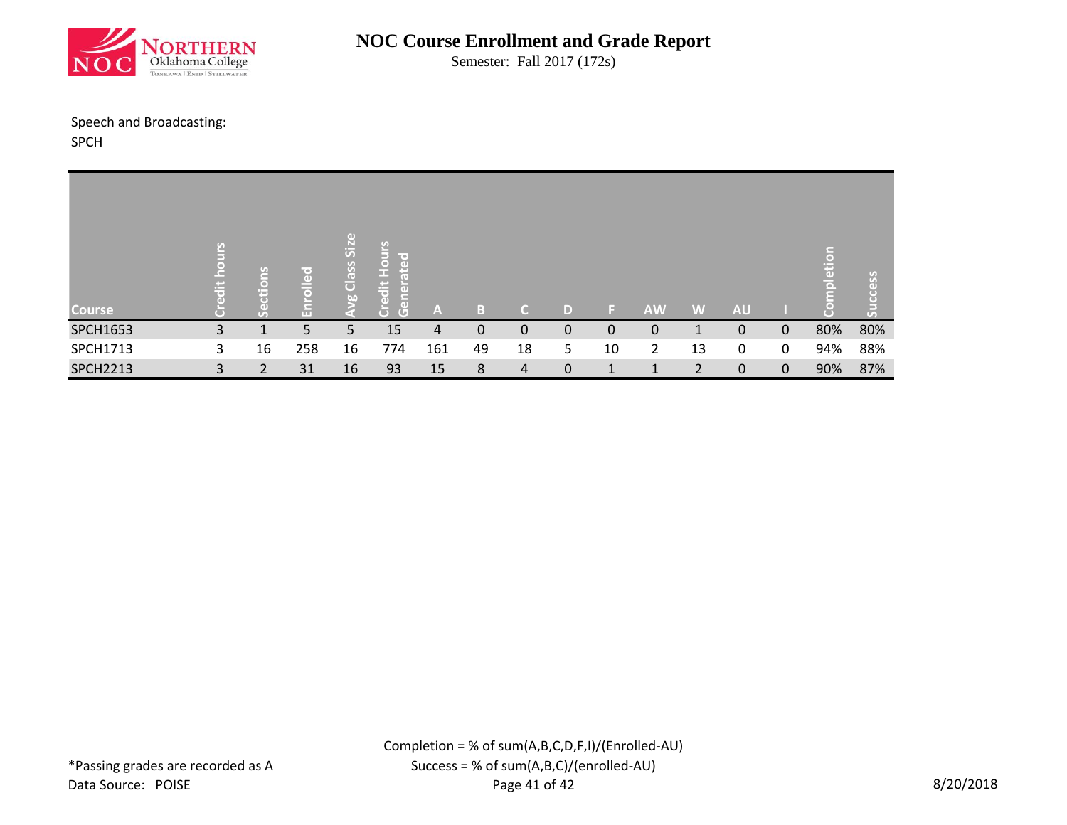

Semester: Fall 2017 (172s)

#### Speech and Broadcasting:

SPCH

| <b>Course</b>   | $\ddot{a}$ | e<br>÷. | ᄝ<br>$\bar{a}$ | GD)<br>$\overline{\mathsf{S}}$<br>Class<br>bo | Hours<br>$\overline{\phantom{a}}$<br>$\overline{a}$<br>E<br>edit<br>$\overline{\text{en}}$<br>$\overline{G}$<br>Ō | A   | B  | n. | D |    | <b>AW</b> | W  | <b>AU</b> |              | pletion | cess<br>$\overline{C}$ |
|-----------------|------------|---------|----------------|-----------------------------------------------|-------------------------------------------------------------------------------------------------------------------|-----|----|----|---|----|-----------|----|-----------|--------------|---------|------------------------|
| <b>SPCH1653</b> | 3          |         | 5.             | 5                                             | 15                                                                                                                | 4   | 0  | 0  | 0 | 0  | 0         |    | 0         | $\mathbf{0}$ | 80%     | 80%                    |
| SPCH1713        | 3.         | 16      | 258            | 16                                            | 774                                                                                                               | 161 | 49 | 18 | 5 | 10 | 2         | 13 | 0         | $\mathbf{0}$ | 94%     | 88%                    |
| <b>SPCH2213</b> | 3          |         | 31             | 16                                            | 93                                                                                                                | 15  | 8  | 4  | 0 |    |           |    | 0         | $\mathbf 0$  | 90%     | 87%                    |